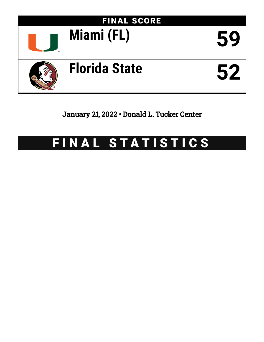

January 21, 2022 • Donald L. Tucker Center

# FINAL STATISTICS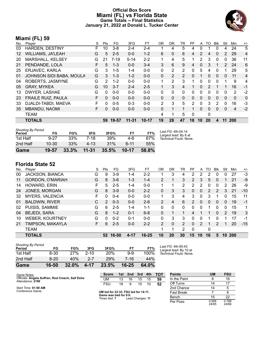### **Official Box Score Miami (FL) vs Florida State Game Totals -- Final Statistics January 21, 2022 at Donald L. Tucker Center**



# **Miami (FL) 59**

| No.               | Plaver                    | S  | Pts      | FG.      | 3FG       | FT.       | 0R            | DR.          | TR             | PF            | A        | TO           | <b>B</b> lk   | Stl                   | Min          | $+/-$ |
|-------------------|---------------------------|----|----------|----------|-----------|-----------|---------------|--------------|----------------|---------------|----------|--------------|---------------|-----------------------|--------------|-------|
| 03                | <b>HARDEN, DESTINY</b>    | F. | 10       | $3 - 8$  | 2-4       | $2 - 4$   |               | 4            | 5              | 4             | 0        |              | 0             | 4                     | 24           | 5     |
| $12 \overline{ }$ | <b>WILLIAMS, JA'LEAH</b>  | G  | 5        | $2 - 5$  | $0 - 0$   | $1 - 2$   | 6             | 0            | 6              | 4             | 2        | 4            | 0             | 2                     | 29           | 4     |
| 20                | MARSHALL, KELSEY          | G  | 21       | $7 - 19$ | $5 - 14$  | $2 - 2$   |               | 4            | 5              |               | 2        | 3            | $\Omega$      | 0                     | 36           | 11    |
| 21                | PENDANDE, LOLA            | F  | 5        | $1 - 3$  | $0 - 0$   | $3 - 4$   | 3             | 6            | 9              | 4             | 0        | 3            |               | $\mathbf{2}^{\prime}$ | 24           | 6     |
| 25                | ERJAVEC, KARLA            | G  | 3        | $1 - 5$  | $1 - 4$   | $0 - 0$   | 0             | 2            | 2              | $\Omega$      | 5        | 4            | 0             | 1                     | 29           | 5     |
| 01                | JOHNSON SIDI BABA, MOULA  | G  | 3        | $1 - 3$  | $1 - 2$   | $0 - 0$   | 0             | 2            | $\overline{2}$ | $\Omega$      |          | $\Omega$     | $\Omega$      | $\mathbf{0}$          | 11           | 4     |
| 04                | ROBERTS, JASMYNE          | G  | 2        | $1 - 2$  | $0 - 0$   | $0 - 0$   | 1             | 2            | 3              | 1             | 0        | 0            | 0             | 1                     | 9            | 4     |
| 05                | <b>GRAY, MYKEA</b>        | G  | 10       | $3 - 7$  | $2 - 4$   | $2 - 5$   | 1             | 3            | 4              |               | 0        | 2            |               | 1                     | 16           | $-1$  |
| 13                | DWYER, LASHAE             | G  | $\Omega$ | $0 - 0$  | $0 - 0$   | $0-0$     | $\Omega$      | $\Omega$     | $\Omega$       | $\Omega$      | 0        | 0            | $\Omega$      | 0                     | 2            | $-2$  |
| 23                | <b>FRAILE RUIZ, PAULA</b> | F. | $\Omega$ | $0 - 0$  | $0 - 0$   | $0 - 0$   | 0             | $\mathbf{0}$ | $\mathbf{0}$   | $\Omega$      | 0        | $\mathbf{0}$ | $\Omega$      | 0                     | $\mathbf{0}$ | 0     |
| 33                | DJALDI-TABDI, MAEVA       | F. | $\Omega$ | $0 - 5$  | $0 - 3$   | $0 - 0$   | $\mathcal{P}$ | 3            | 5              | $\mathcal{P}$ | $\Omega$ | 3            | $\mathcal{P}$ | 0                     | 16           | $-3$  |
| 35                | <b>MBANDU, NAOMI</b>      | F. | $\Omega$ | $0 - 0$  | $0-0$     | $0 - 0$   | 0             | 1            | 1              |               | 0        | $\Omega$     | 0             | 0                     | 4            | $-2$  |
|                   | <b>TEAM</b>               |    |          |          |           |           | 4             | 1            | 5              | $\Omega$      |          | 0            |               |                       |              |       |
|                   | <b>TOTALS</b>             |    | 59       | 19-57    | $11 - 31$ | $10 - 17$ | 19            | 28           | 47             | 18            | 10       | 20           | 4             | 11                    | 200          |       |

| Game                                | 19-57     | 33.3% | $11 - 31$ | 35.5% | $10 - 17$ | 58.8% |                                             |
|-------------------------------------|-----------|-------|-----------|-------|-----------|-------|---------------------------------------------|
| 2nd Half                            | $10 - 30$ | 33%   | $4 - 13$  | 31%   | ჩ-11      | 55%   |                                             |
| 1st Half                            | $9 - 27$  | 33%   | 7-18      | 39%   | 4-6       | 67%   | Technical Fouls: None.                      |
| <b>Shooting By Period</b><br>Period | FG        | FG%   | 3FG       | 3FG%  | FТ        | FT%   | Last FG: 4th-04:14<br>Largest lead: By 8 at |

| No. | Plaver                  | S  | Pts | FG      | 3FG     | FТ        | 0 <sub>R</sub> | DR | TR             | PF             | A        | TO | Blk          | Stl      | Min        | $+/-$ |
|-----|-------------------------|----|-----|---------|---------|-----------|----------------|----|----------------|----------------|----------|----|--------------|----------|------------|-------|
| 00  | <b>JACKSON, BIANCA</b>  | G  | 9   | $3-9$   | 1-4     | $2 - 2$   |                | 3  | 4              | 2              | 2        | 2  | 0            | 0        | 27         | $-3$  |
| 11  | <b>GORDON, O'MARIAH</b> | G  | 8   | $3-6$   | $1 - 3$ | $1 - 4$   | $\overline{2}$ |    | 3              | $\overline{2}$ | 3        | 5  | $\mathbf{0}$ |          | 21         | $-9$  |
| 14  | HOWARD, ERIN            | F  | 5   | $2 - 5$ | 1-4     | $0 - 0$   |                |    | 2              | 2              | 2        | 0  | 0            | 2        | 26         | -9    |
| 24  | JONES, MORGAN           | G  | 8   | $3-9$   | $0 - 0$ | $2 - 2$   | 0              | 3  | 3              | 0              | 0        | 2  | 2            | 3        | 21         | $-10$ |
| 32  | <b>MYERS, VALENCIA</b>  | F. | 0   | $0 - 4$ | $0 - 0$ | $0 - 0$   | 1              | 3  | 4              | 3              | 0        | 3  |              | 0        | 15         | 11    |
| 01  | <b>BALDWIN, RIVER</b>   | С  | 2   | $0 - 3$ | $0 - 0$ | $2-6$     | $\overline{2}$ | 4  | 6              | 2              | $\Omega$ | 0  | $\Omega$     | $\Omega$ | 19         | $-1$  |
| 02  | PUISIS, SAMMIE          | G  | 6   | $2 - 5$ | $1 - 4$ | $1 - 1$   | 0              | 0  | $\Omega$       | $\Omega$       | 0        | 1  | $\Omega$     | 0        | 15         | 1     |
| 04  | <b>BEJEDI, SARA</b>     | G  | 8   | $1 - 2$ | $0 - 1$ | $6 - 8$   | 0              |    |                | 4              | 1        |    | $\Omega$     | 2        | 19         | 3     |
| 10  | <b>WEBER, KOURTNEY</b>  | G  | 0   | $0 - 2$ | $0 - 1$ | $0 - 0$   | 0              | 3  | 3              | $\Omega$       | 0        |    | 0            |          | 17         | $-1$  |
| 21  | TIMPSON, MAKAYLA        | F  | 6.  | $2 - 5$ | $0 - 0$ | $2 - 2$   | $\overline{2}$ | 0  | $\overline{2}$ | 0              | 2        |    | 2            |          | 20         | $-15$ |
|     | <b>TEAM</b>             |    |     |         |         |           | 1              |    | 2              | 0              |          | 0  |              |          |            |       |
|     | <b>TOTALS</b>           |    | 52  | 16-50   | 4-17    | $16 - 25$ | 10             | 20 | 30             | 15             | 10       | 16 | 5            | 10       | <b>200</b> |       |
|     |                         |    |     |         |         |           |                |    |                |                |          |    |              |          |            |       |

| Game                                | $16 - 50$ | 32.0% | 4-17     | 23.5%      | $16 - 25$ | 64.0% |                                              |
|-------------------------------------|-----------|-------|----------|------------|-----------|-------|----------------------------------------------|
| 2nd Half                            | $8 - 20$  | 40%   | $2 - 7$  | 29%        | 7-16      | 44%   |                                              |
| 1st Half                            | 8-30      | 27%   | $2 - 10$ | <b>20%</b> | $9-9$     | 100%  | Technical Fouls: None.                       |
| <b>Shooting By Period</b><br>Period | FG        | FG%   | 3FG      | 3FG%       | FT        | FT%   | Last FG: 4th-00:43<br>Largest lead: By 10 at |

| Game Notes:                                                          | <b>Score</b>                            | 1st                                  | 2nd | 3rd | 4th | <b>TOT</b> | <b>Points</b>     | <b>UM</b>      | <b>FSU</b> |
|----------------------------------------------------------------------|-----------------------------------------|--------------------------------------|-----|-----|-----|------------|-------------------|----------------|------------|
| Officials: Angela Suffren, Rod Creech, Saif Esho<br>Attendance: 2190 | UM                                      | 13                                   | 16  | 15  | 15  | 59         | In the Paint      |                | 16         |
|                                                                      | <b>FSU</b>                              | 18                                   | 9   | 15  | 10  | 52         | Off Turns         | 14             | 17         |
| Start Time: 01:00 AM                                                 |                                         |                                      |     |     |     |            | 2nd Chance        | 14             |            |
| Conference Game;                                                     |                                         | UM led for 23:33. FSU led for 14:11. |     |     |     |            | <b>Fast Break</b> |                |            |
|                                                                      | Game was tied for 0:0.<br>Times tied: 7 |                                      |     |     |     |            | Bench             | 15             | 22         |
|                                                                      |                                         | Lead Changes: 11                     |     |     |     | Per Poss   | 0.908<br>24/65    | 0.788<br>24/66 |            |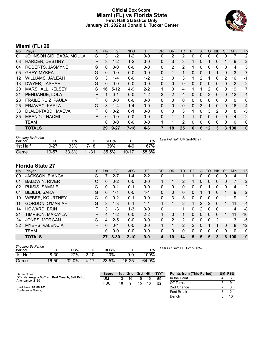#### **Official Box Score Miami (FL) vs Florida State First Half Statistics Only January 21, 2022 at Donald L. Tucker Center**



# **Miami (FL) 29**

| No. | Plaver                    | S | <b>Pts</b>   | <b>FG</b> | 3FG     | <b>FT</b> | <b>OR</b> | D <sub>R</sub> | TR       | <b>PF</b> | $\mathsf{A}$ | TO       | <b>B</b> lk | Stl          | <b>Min</b> | $+/-$          |
|-----|---------------------------|---|--------------|-----------|---------|-----------|-----------|----------------|----------|-----------|--------------|----------|-------------|--------------|------------|----------------|
| 01  | JOHNSON SIDI BABA, MOULA  | G | 3            | $1 - 2$   | 1-2     | $0 - 0$   | 0         | 2              | 2        | 0         | 0            | 0        | 0           | 0            |            | 2              |
| 03  | <b>HARDEN, DESTINY</b>    | F | 3            | $1 - 2$   | $1 - 2$ | $0 - 0$   | 0         | 3              | 3        |           | 0            |          | 0           |              | 9          | 2              |
| 04  | ROBERTS, JASMYNE          | G | 0            | $0-0$     | $0 - 0$ | $0-0$     | 0         | 2              | 2        |           | 0            | 0        | 0           | $\mathbf 0$  | 4          | 5              |
| 05  | <b>GRAY, MYKEA</b>        | G | $\mathbf{0}$ | $0 - 0$   | $0 - 0$ | $0 - 0$   | 0         | 1              | 1        | 0         | 0            |          |             | 0            | 3          | $-7$           |
| 12  | <b>WILLIAMS, JA'LEAH</b>  | G | 3            | $1 - 4$   | $0 - 0$ | $1 - 2$   | 3         | 0              | 3        |           | 2            |          | 0           | 2            | 16         | -1             |
| 13  | DWYER, LASHAE             | G | 0            | $0 - 0$   | $0 - 0$ | $0 - 0$   | 0         | 0              | $\Omega$ | 0         | 0            | 0        | 0           | 0            | 2          | $-2$           |
| 20  | MARSHALL, KELSEY          | G | 16           | $5 - 12$  | $4-9$   | $2 - 2$   |           | 3              | 4        |           |              | 2        | 0           | 0            | 19         | 7              |
| 21  | PENDANDE, LOLA            | F |              | $0 - 1$   | $0 - 0$ | $1 - 2$   | 2         | $\overline{2}$ | 4        | $\Omega$  | 0            | 3        | $\Omega$    | $\mathbf{0}$ | 12         | $\overline{4}$ |
| 23  | <b>FRAILE RUIZ, PAULA</b> | F | 0            | $0 - 0$   | $0 - 0$ | $0-0$     | 0         | 0              | 0        | 0         | 0            | $\Omega$ | 0           | 0            | 0          | $\mathbf{0}$   |
| 25  | <b>ERJAVEC, KARLA</b>     | G | 3            | $1 - 4$   | $1 - 4$ | $0 - 0$   | 0         | $\mathbf{0}$   | 0        | $\Omega$  | 3            |          | $\Omega$    | 0            | 16         | 4              |
| 33  | DJALDI-TABDI, MAEVA       | F | 0            | $0 - 2$   | $0 - 1$ | $0 - 0$   | 0         | 3              | 3        |           | 0            | 3        | 2           | 0            | 8          | $-5$           |
| 35  | <b>MBANDU, NAOMI</b>      | F | $\Omega$     | $0 - 0$   | $0 - 0$ | $0 - 0$   | 0         |                |          |           | 0            | 0        | 0           | 0            | 4          | $-2$           |
|     | TEAM                      |   | 0            | $0 - 0$   | $0 - 0$ | $0 - 0$   |           | 1              | 2        | 0         | 0            | $\Omega$ | 0           | 0            | 0          | 0              |
|     | <b>TOTALS</b>             |   | 29           | $9 - 27$  | $7-18$  | 4-6       |           | 18             | 25       | 6         | 6            | 12       | 3           | 3            | 100        | $\bf{0}$       |

| <b>Shooting By Period</b><br>Period | FG       | FG%   | 3FG       | 3FG%     | FТ        | FT%   | Last FG Half: UM 2nd-02:27 |
|-------------------------------------|----------|-------|-----------|----------|-----------|-------|----------------------------|
| 1st Half                            | $9 - 27$ | 33%   | 7-18      | 39%      | 4-6       | 67%   |                            |
| Game                                | 19-57    | 33.3% | $11 - 31$ | $35.5\%$ | $10 - 17$ | 58.8% |                            |

**Florida State 27**

| No. | Player                  | S | Pts | <b>FG</b> | 3FG      | <b>FT</b> | <b>OR</b> | DR | TR            | PF       | A              | TO | <b>Blk</b>     | Stl      | Min | $+/-$       |
|-----|-------------------------|---|-----|-----------|----------|-----------|-----------|----|---------------|----------|----------------|----|----------------|----------|-----|-------------|
| 00  | <b>JACKSON, BIANCA</b>  | G |     | $2 - 7$   | 1-4      | $2 - 2$   | 0         |    |               |          | 0              | 0  | 0              | 0        | 14  | 1           |
| 01  | <b>BALDWIN, RIVER</b>   | С | 0   | $0 - 2$   | $0 - 0$  | $0 - 0$   |           |    | 2             |          | 0              | 0  | $\overline{0}$ | $\Omega$ |     | 2           |
| 02  | PUISIS, SAMMIE          | G | 0   | $0 - 1$   | $0 - 1$  | $0 - 0$   | 0         | 0  | 0             | 0        | 0              |    | 0              | 0        | 4   | 2           |
| 04  | <b>BEJEDI, SARA</b>     | G | 6   | 1-1       | $0 - 0$  | $4 - 4$   | 0         | 0  | $\Omega$      | 0        | 1              |    | 0              |          | 9   | 2           |
| 10  | <b>WEBER, KOURTNEY</b>  | G | 0   | $0 - 2$   | $0 - 1$  | $0 - 0$   | 0         | 3  | 3             | 0        | 0              | 0  | 0              |          | 9   | $-2$        |
| 11  | <b>GORDON, O'MARIAH</b> | G | 3   | $1 - 3$   | $0 - 1$  | $1 - 1$   |           |    | $\mathcal{P}$ |          | $\overline{2}$ | 2  | $\Omega$       |          | 11  | $-4$        |
| 14  | HOWARD, ERIN            | F | 3   | $1 - 3$   | $1 - 3$  | $0 - 0$   | 0         |    |               | 0        | 2              | 0  | $\Omega$       |          | 14  | -8          |
| 21  | TIMPSON, MAKAYLA        | F | 4   | $1 - 2$   | $0 - 0$  | $2 - 2$   |           | 0  |               | 0        | 0              | 0  | $\mathbf{0}$   |          | 11  | $-10$       |
| 24  | JONES, MORGAN           | G | 4   | $2 - 5$   | $0 - 0$  | $0 - 0$   | 0         | 2  | 2             | 0        | 0              | 0  | 2              |          | 13  | -5          |
| 32  | <b>MYERS, VALENCIA</b>  | F | 0   | $0 - 4$   | $0 - 0$  | $0 - 0$   | 1         |    | 2             | 2        | $\mathbf 0$    |    |                | 0        | 8   | 12          |
|     | <b>TEAM</b>             |   | 0   | $0 - 0$   | $0 - 0$  | $0 - 0$   | 0         | 0  | $\mathbf{0}$  | $\Omega$ | 0              | 0  | $\mathbf{0}$   | 0        | 0   | 0           |
|     | <b>TOTALS</b>           |   | 27  | $8 - 30$  | $2 - 10$ | $9 - 9$   | 4         | 10 | 14            | 5        | 5              | 5  | 3              | 6        | 100 | $\mathbf 0$ |

| <b>Shooting By Period</b><br>Period | FG        | FG%   | 3FG      | 3FG%  |       | FT%   |
|-------------------------------------|-----------|-------|----------|-------|-------|-------|
| 1st Half                            | 8-30      | 27%   | $2 - 10$ | 20%   | 9-9   | 100%  |
| Game                                | $16 - 50$ | 32.0% | $4 - 17$ | 23.5% | 16-25 | 64.0% |

*Last FG Half:* FSU 2nd-00:57

| Game Notes:                                                          | <b>Score</b> | 1st | 2nd | 3rd | 4th | <b>TOT</b> | <b>Points from (This Period)</b> | <b>UM FSU</b> |
|----------------------------------------------------------------------|--------------|-----|-----|-----|-----|------------|----------------------------------|---------------|
| Officials: Angela Suffren, Rod Creech, Saif Esho<br>Attendance: 2190 | UM           | 13  | 16  | 15  | 15  | -59        | In the Paint                     |               |
|                                                                      | <b>FSU</b>   | 18  |     | 15  | 10  | -52        | Off Turns                        |               |
| Start Time: 01:00 AM                                                 |              |     |     |     |     |            | 2nd Chance                       |               |
| Conference Game:                                                     |              |     |     |     |     |            | <b>Fast Break</b>                |               |
|                                                                      |              |     |     |     |     |            | Bench                            | 10            |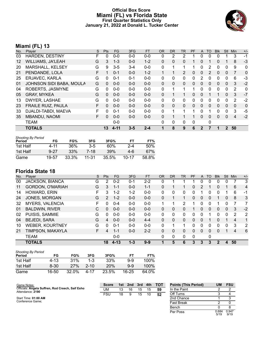#### **Official Box Score Miami (FL) vs Florida State First Quarter Statistics Only January 21, 2022 at Donald L. Tucker Center**



# **Miami (FL) 13**

| No.               | Plaver                    | S  | <b>Pts</b> | <b>FG</b> | 3FG     | <b>FT</b> | 0R           | <b>DR</b>    | TR | <b>PF</b> | A            | TO | <b>BIK</b> | <b>Stl</b>     | Min            | $+/-$        |
|-------------------|---------------------------|----|------------|-----------|---------|-----------|--------------|--------------|----|-----------|--------------|----|------------|----------------|----------------|--------------|
| 03                | <b>HARDEN, DESTINY</b>    | F  | 0          | $0 - 0$   | $0 - 0$ | $0 - 0$   | 0            | 2            | 2  |           | $\Omega$     | 0  | 0          |                | 3              | $-1$         |
| $12 \overline{ }$ | <b>WILLIAMS, JA'LEAH</b>  | G  | 3          | $1 - 3$   | $0 - 0$ | $1 - 2$   | $\Omega$     | $\mathbf{0}$ | 0  |           | $\mathbf{0}$ |    | 0          |                | 8              | $-3$         |
| 20                | MARSHALL, KELSEY          | G  | 9          | $3-5$     | $3 - 4$ | $0-0$     | $\mathbf{0}$ |              | 1  |           | $\mathbf{0}$ | 2  | 0          | $\Omega$       | 9              | 0            |
| 21                | PENDANDE, LOLA            | F  |            | $0 - 1$   | $0 - 0$ | $1 - 2$   |              |              | 2  | 0         | $\mathbf{0}$ | 2  | 0          | $\mathbf{0}$   |                | 0            |
| 25                | ERJAVEC, KARLA            | G  | 0          | $0 - 1$   | $0 - 1$ | $0-0$     | $\Omega$     | $\mathbf{0}$ | 0  | 0         | 2            | 0  | 0          | $\Omega$       | 6              | -3           |
| 01                | JOHNSON SIDI BABA, MOULA  | G  | 0          | $0 - 0$   | $0 - 0$ | $0-0$     | $\Omega$     | $\mathbf{0}$ | 0  | 0         | $\Omega$     | 0  | 0          | $\mathbf{0}$   | 3              | $-2$         |
| 04                | ROBERTS, JASMYNE          | G  | $\Omega$   | $0 - 0$   | $0 - 0$ | $0 - 0$   | $\Omega$     |              | 1  |           | $\Omega$     | 0  | 0          | $\Omega$       | 2              | $\mathbf{0}$ |
| 05                | <b>GRAY, MYKEA</b>        | G  | $\Omega$   | $0 - 0$   | $0 - 0$ | $0-0$     | $\mathbf{0}$ |              | 1  | 0         | $\mathbf{0}$ |    |            | $\mathbf{0}$   | 3              | $-7$         |
| 13                | DWYER, LASHAE             | G  | $\Omega$   | $0 - 0$   | $0 - 0$ | $0-0$     | $\Omega$     | $\mathbf{0}$ | 0  | 0         | $\Omega$     | 0  | 0          | 0              | 2              | $-2$         |
| 23                | <b>FRAILE RUIZ, PAULA</b> | F  | $\Omega$   | $0 - 0$   | $0 - 0$ | $0-0$     | $\Omega$     | $\Omega$     | 0  | 0         | $\mathbf{0}$ | 0  | 0          | $\Omega$       | $\mathbf{0}$   | $\Omega$     |
| 33                | DJALDI-TABDI, MAEVA       | F  | 0          | $0 - 1$   | $0 - 0$ | $0 - 0$   | $\Omega$     | 1            | 1  | 1         | $\Omega$     | 1  | 0          | $\Omega$       | 3              | -5           |
| 35                | <b>MBANDU, NAOMI</b>      | F. | $\Omega$   | $0 - 0$   | $0 - 0$ | $0 - 0$   | $\Omega$     |              |    |           | $\Omega$     | 0  | 0          | $\Omega$       | $\overline{4}$ | $-2$         |
|                   | <b>TEAM</b>               |    |            | $0 - 0$   |         |           | $\Omega$     | $\mathbf{0}$ | 0  | 0         |              | 0  |            |                |                |              |
|                   | <b>TOTALS</b>             |    | 13         | $4 - 11$  | $3 - 5$ | $2 - 4$   |              | 8            | 9  | 6         | $\mathbf{2}$ |    |            | $\overline{2}$ | 50             |              |

| <b>Shooting By Period</b> |          |       |           |       |           |       |
|---------------------------|----------|-------|-----------|-------|-----------|-------|
| Period                    | FG       | FG%   | 3FG       | 3FG%  | FT        | FT%   |
| 1st Half                  | 4-11     | 36%   | $3-5$     | 60%   | 2-4       | 50%   |
| 1st Half                  | $9 - 27$ | 33%   | 7-18      | 39%   | 4-6       | 67%   |
| Game                      | 19-57    | 33.3% | $11 - 31$ | 35.5% | $10 - 17$ | 58.8% |

| No. | Player                 | S  | Pts           | FG.      | 3FG     | <b>FT</b> | <b>OR</b> | <b>DR</b> | TR           | PF | A              | TO       | <b>B</b> lk | <b>Stl</b>   | Min            | $+/-$ |
|-----|------------------------|----|---------------|----------|---------|-----------|-----------|-----------|--------------|----|----------------|----------|-------------|--------------|----------------|-------|
| 00  | JACKSON, BIANCA        | G  | 2             | $0 - 2$  | 0-1     | 2-2       | 0         |           |              |    | 0              | 0        | 0           | 0            |                | 3     |
| 11  | GORDON, O'MARIAH       | G  | 3             | 1-1      | $0 - 0$ | $1 - 1$   | 0         |           |              | 0  | 2              |          | 0           |              | 6              | 4     |
| 14  | HOWARD, ERIN           | F  | 3             | $1 - 2$  | $1-2$   | $0-0$     | 0         | 0         | 0            | 0  |                |          | 0           |              | 6              | -1    |
| 24  | JONES, MORGAN          | G  | $\mathcal{P}$ | $1 - 2$  | $0 - 0$ | $0 - 0$   | 0         |           | $\mathbf 1$  | 0  | $\mathbf{0}$   | 0        |             | $\mathbf{0}$ | 8              | 3     |
| 32  | <b>MYERS, VALENCIA</b> | F. | <sup>0</sup>  | $0 - 4$  | $0 - 0$ | $0 - 0$   | 1         | 1         | 2            |    | 0              | $\Omega$ |             | 0            | 7              | 7     |
| 01  | <b>BALDWIN, RIVER</b>  | С  | $\Omega$      | $0 - 0$  | $0 - 0$ | $0 - 0$   | 0         | 0         | 0            |    | 0              | $\Omega$ | 0           | $\Omega$     | 3              | $-2$  |
| 02  | PUISIS, SAMMIE         | G  | 0             | $0 - 0$  | $0 - 0$ | $0 - 0$   | 0         | 0         | 0            | 0  | 0              |          | 0           | 0            | $\overline{2}$ | 2     |
| 04  | <b>BEJEDI, SARA</b>    | G  | 4             | $0 - 0$  | $0 - 0$ | $4 - 4$   | $\Omega$  | 0         | 0            | 0  | $\overline{0}$ |          | 0           |              | 4              | 1     |
| 10  | <b>WEBER, KOURTNEY</b> | G  | 0             | $0 - 1$  | $0 - 0$ | $0 - 0$   | 0         | 1         | 1.           | 0  | 0              | ∩        | 0           | 0            | 3              | 2     |
| 21  | TIMPSON, MAKAYLA       | F. | 4             | 1-1      | $0 - 0$ | $2 - 2$   | 0         | 0         | 0            | 0  | $\Omega$       | $\Omega$ | 0           |              | 4              | 6     |
|     | <b>TEAM</b>            |    |               | $0 - 0$  |         |           | 0         | 0         | $\mathbf{0}$ | 0  |                | 0        |             |              |                |       |
|     | <b>TOTALS</b>          |    | 18            | $4 - 13$ | $1 - 3$ | $9 - 9$   | 1         | 5         | 6            | 3  | 3              | 3        | $\mathbf 2$ | 4            | 50             |       |

| <b>Shooting By Period</b><br>Period | FG       | FG%   | 3FG      | 3FG%       | FТ    | FT%   |
|-------------------------------------|----------|-------|----------|------------|-------|-------|
| 1st Half                            | $4 - 13$ | 31%   | 1-3      | 33%        | $9-9$ | 100%  |
| 1st Half                            | $8 - 30$ | 27%   | $2 - 10$ | <b>20%</b> | $9-9$ | 100%  |
| Game                                | 16-50    | 32.0% | 4-17     | 23.5%      | 16-25 | 64.0% |

| Game Notes:                                      | <b>Score</b> | 1st. | 2nd | 3rd | 4th | <b>TOT</b> | <b>Points (This Period)</b> | UM            | <b>FSU</b>    |
|--------------------------------------------------|--------------|------|-----|-----|-----|------------|-----------------------------|---------------|---------------|
| Officials: Angela Suffren, Rod Creech, Saif Esho | UM           | 13   | 16  | 15  | 15  | 59         | In the Paint                |               |               |
| Attendance: 2190                                 | FSU          | 18   |     | 15  | 10  | 52         | Off Turns                   |               |               |
| Start Time: 01:00 AM                             |              |      |     |     |     |            | 2nd Chance                  |               |               |
| Conference Game;                                 |              |      |     |     |     |            | Fast Break                  |               |               |
|                                                  |              |      |     |     |     |            | Bench                       |               |               |
|                                                  |              |      |     |     |     |            | Per Poss                    | 0.684<br>5/19 | 0.947<br>9/19 |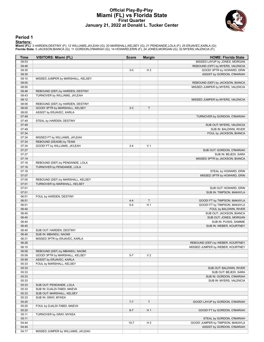### **Official Play-By-Play Miami (FL) vs Florida State First Quarter January 21, 2022 at Donald L. Tucker Center**



#### **Period 1**

<mark>Starters:</mark><br>Miami (FL): 3 HARDEN,DESTINY (F); 12 WILLIAMS,JA'LEAH (G); 20 MARSHALL,KELSEY (G); 21 PENDANDE,LOLA (F); 25 ERJAVEC,KARLA (G);<br>Florida State: 0 JACKSON,BIANCA (G); 11 GORDON,O'MARIAH (G); 14 HOWARD,ERIN (F); 2

| <b>Time</b> | <b>VISITORS: Miami (FL)</b>        | <b>Score</b> | <b>Margin</b>  | <b>HOME: Florida State</b>       |
|-------------|------------------------------------|--------------|----------------|----------------------------------|
| 09:53       |                                    |              |                | MISSED LAYUP by JONES, MORGAN    |
| 09:48       |                                    |              |                | REBOUND (OFF) by MYERS, VALENCIA |
| 09:35       |                                    | $3-0$        | H <sub>3</sub> | GOOD! 3PTR by HOWARD, ERIN       |
| 09:35       |                                    |              |                | ASSIST by GORDON, O'MARIAH       |
| 09:10       | MISSED JUMPER by MARSHALL, KELSEY  |              |                |                                  |
| 09:05       |                                    |              |                | REBOUND (DEF) by JACKSON, BIANCA |
| 08:50       |                                    |              |                | MISSED JUMPER by MYERS, VALENCIA |
| 08:48       | REBOUND (DEF) by HARDEN, DESTINY   |              |                |                                  |
| 08:43       | TURNOVER by WILLIAMS, JA'LEAH      |              |                |                                  |
| 08:12       |                                    |              |                | MISSED JUMPER by MYERS, VALENCIA |
| 08:09       | REBOUND (DEF) by HARDEN, DESTINY   |              |                |                                  |
| 08:00       | GOOD! 3PTR by MARSHALL, KELSEY     | $3 - 3$      | $\top$         |                                  |
| 08:00       | ASSIST by ERJAVEC, KARLA           |              |                |                                  |
| 07:49       |                                    |              |                | TURNOVER by GORDON, O'MARIAH     |
| 07:49       | STEAL by HARDEN, DESTINY           |              |                |                                  |
| 07:49       |                                    |              |                | SUB OUT: MYERS, VALENCIA         |
| 07:49       |                                    |              |                | SUB IN: BALDWIN, RIVER           |
| 07:34       |                                    |              |                | FOUL by JACKSON, BIANCA          |
| 07:34       | MISSED FT by WILLIAMS, JA'LEAH     |              |                |                                  |
| 07:34       | REBOUND (DEADB) by TEAM            |              |                |                                  |
| 07:34       | GOOD! FT by WILLIAMS, JA'LEAH      | $3 - 4$      | V <sub>1</sub> |                                  |
| 07:27       |                                    |              |                | SUB OUT: GORDON, O'MARIAH        |
| 07:27       |                                    |              |                | SUB IN: BEJEDI, SARA             |
| 07:19       |                                    |              |                | MISSED 3PTR by JACKSON, BIANCA   |
| 07:18       | REBOUND (DEF) by PENDANDE, LOLA    |              |                |                                  |
| 07:18       | TURNOVER by PENDANDE, LOLA         |              |                |                                  |
| 07:18       |                                    |              |                | STEAL by HOWARD, ERIN            |
| 07:07       |                                    |              |                | MISSED 3PTR by HOWARD, ERIN      |
| 07:05       | REBOUND (DEF) by MARSHALL, KELSEY  |              |                |                                  |
| 07:01       | TURNOVER by MARSHALL, KELSEY       |              |                |                                  |
| 07:01       |                                    |              |                | SUB OUT: HOWARD, ERIN            |
| 07:01       |                                    |              |                | SUB IN: TIMPSON, MAKAYLA         |
| 06:51       | FOUL by HARDEN, DESTINY            |              |                |                                  |
| 06:51       |                                    | $4 - 4$      | $\top$         | GOOD! FT by TIMPSON, MAKAYLA     |
| 06:51       |                                    | $5 - 4$      | H <sub>1</sub> | GOOD! FT by TIMPSON, MAKAYLA     |
| 06:40       |                                    |              |                | FOUL by BALDWIN, RIVER           |
| 06:40       |                                    |              |                | SUB OUT: JACKSON, BIANCA         |
| 06:40       |                                    |              |                | SUB OUT: JONES, MORGAN           |
| 06:40       |                                    |              |                | SUB IN: PUISIS, SAMMIE           |
| 06:40       |                                    |              |                | SUB IN: WEBER, KOURTNEY          |
| 06:40       | SUB OUT: HARDEN, DESTINY           |              |                |                                  |
| 06:40       | SUB IN: MBANDU, NAOMI              |              |                |                                  |
| 06:31       | MISSED 3PTR by ERJAVEC, KARLA      |              |                |                                  |
| 06:28       |                                    |              |                | REBOUND (DEF) by WEBER, KOURTNEY |
| 06:10       |                                    |              |                | MISSED JUMPER by WEBER, KOURTNEY |
| 06:08       | REBOUND (DEF) by MBANDU, NAOMI     |              |                |                                  |
| 05:59       | GOOD! 3PTR by MARSHALL, KELSEY     | $5 - 7$      | V <sub>2</sub> |                                  |
| 05:59       | ASSIST by ERJAVEC, KARLA           |              |                |                                  |
| 05:33       | FOUL by MARSHALL, KELSEY           |              |                |                                  |
| 05:33       |                                    |              |                | SUB OUT: BALDWIN, RIVER          |
| 05:33       |                                    |              |                | SUB OUT: BEJEDI, SARA            |
| 05:33       |                                    |              |                | SUB IN: GORDON, O'MARIAH         |
| 05:33       |                                    |              |                | SUB IN: MYERS, VALENCIA          |
| 05:33       | SUB OUT: PENDANDE, LOLA            |              |                |                                  |
| 05:33       | SUB IN: DJALDI-TABDI, MAEVA        |              |                |                                  |
| 05:33       | SUB OUT: MARSHALL, KELSEY          |              |                |                                  |
| 05:33       | SUB IN: GRAY, MYKEA                |              |                |                                  |
| 05:20       |                                    | $7 - 7$      | $\mathsf T$    | GOOD! LAYUP by GORDON, O'MARIAH  |
| 05:20       | FOUL by DJALDI-TABDI, MAEVA        |              |                |                                  |
| 05:20       |                                    | $8 - 7$      | H <sub>1</sub> | GOOD! FT by GORDON, O'MARIAH     |
| 05:11       | TURNOVER by GRAY, MYKEA            |              |                |                                  |
| 05:11       |                                    |              |                | STEAL by GORDON, O'MARIAH        |
| 04:44       |                                    | $10 - 7$     | H <sub>3</sub> | GOOD! JUMPER by TIMPSON, MAKAYLA |
| 04:44       |                                    |              |                | ASSIST by GORDON, O'MARIAH       |
| 04:17       | MISSED JUMPER by WILLIAMS, JA'LEAH |              |                |                                  |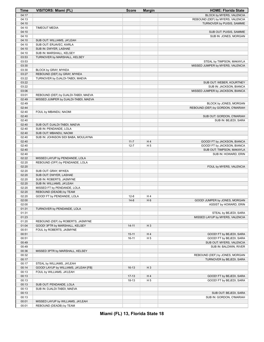| Time           | <b>VISITORS: Miami (FL)</b>                          | <b>Score</b> | <b>Margin</b>        | <b>HOME: Florida State</b>        |
|----------------|------------------------------------------------------|--------------|----------------------|-----------------------------------|
| 04:17          |                                                      |              |                      | BLOCK by MYERS, VALENCIA          |
| 04:13          |                                                      |              |                      | REBOUND (DEF) by MYERS, VALENCIA  |
| 04:10          |                                                      |              |                      | TURNOVER by PUISIS, SAMMIE        |
| 04:10          | <b>TIMEOUT MEDIA</b>                                 |              |                      |                                   |
| 04:10          |                                                      |              |                      | SUB OUT: PUISIS, SAMMIE           |
| 04:10          |                                                      |              |                      | SUB IN: JONES, MORGAN             |
| 04:10          | SUB OUT: WILLIAMS, JA'LEAH                           |              |                      |                                   |
| 04:10          | SUB OUT: ERJAVEC, KARLA                              |              |                      |                                   |
| 04:10          | SUB IN: DWYER, LASHAE                                |              |                      |                                   |
| 04:10          | SUB IN: MARSHALL, KELSEY                             |              |                      |                                   |
| 03:53          | TURNOVER by MARSHALL, KELSEY                         |              |                      |                                   |
| 03:53          |                                                      |              |                      | STEAL by TIMPSON, MAKAYLA         |
| 03:30          |                                                      |              |                      | MISSED JUMPER by MYERS, VALENCIA  |
| 03:30<br>03:27 | BLOCK by GRAY, MYKEA<br>REBOUND (DEF) by GRAY, MYKEA |              |                      |                                   |
| 03:22          | TURNOVER by DJALDI-TABDI, MAEVA                      |              |                      |                                   |
| 03:22          |                                                      |              |                      | SUB OUT: WEBER, KOURTNEY          |
| 03:22          |                                                      |              |                      | SUB IN: JACKSON, BIANCA           |
| 03:06          |                                                      |              |                      | MISSED JUMPER by JACKSON, BIANCA  |
| 03:01          | REBOUND (DEF) by DJALDI-TABDI, MAEVA                 |              |                      |                                   |
| 02:49          | MISSED JUMPER by DJALDI-TABDI, MAEVA                 |              |                      |                                   |
| 02:49          |                                                      |              |                      | BLOCK by JONES, MORGAN            |
| 02:44          |                                                      |              |                      | REBOUND (DEF) by GORDON, O'MARIAH |
| 02:40          | FOUL by MBANDU, NAOMI                                |              |                      |                                   |
| 02:40          |                                                      |              |                      | SUB OUT: GORDON, O'MARIAH         |
| 02:40          |                                                      |              |                      | SUB IN: BEJEDI, SARA              |
| 02:40          | SUB OUT: DJALDI-TABDI, MAEVA                         |              |                      |                                   |
| 02:40          | SUB IN: PENDANDE, LOLA                               |              |                      |                                   |
| 02:40          | SUB OUT: MBANDU, NAOMI                               |              |                      |                                   |
| 02:40          | SUB IN: JOHNSON SIDI BABA, MOULAYNA                  |              |                      |                                   |
| 02:40          |                                                      | $11 - 7$     | H4                   | GOOD! FT by JACKSON, BIANCA       |
| 02:40          |                                                      | $12 - 7$     | H <sub>5</sub>       | GOOD! FT by JACKSON, BIANCA       |
| 02:40          |                                                      |              |                      | SUB OUT: TIMPSON, MAKAYLA         |
| 02:40          |                                                      |              |                      | SUB IN: HOWARD, ERIN              |
| 02:22          | MISSED LAYUP by PENDANDE, LOLA                       |              |                      |                                   |
| 02:20          | REBOUND (OFF) by PENDANDE, LOLA                      |              |                      |                                   |
| 02:20<br>02:20 |                                                      |              |                      | FOUL by MYERS, VALENCIA           |
| 02:20          | SUB OUT: GRAY, MYKEA<br>SUB OUT: DWYER, LASHAE       |              |                      |                                   |
| 02:20          | SUB IN: ROBERTS, JASMYNE                             |              |                      |                                   |
| 02:20          | SUB IN: WILLIAMS, JA'LEAH                            |              |                      |                                   |
| 02:20          | MISSED FT by PENDANDE, LOLA                          |              |                      |                                   |
| 02:20          | REBOUND (DEADB) by TEAM                              |              |                      |                                   |
| 02:20          | GOOD! FT by PENDANDE, LOLA                           | $12-8$       | H4                   |                                   |
| 02:00          |                                                      | $14 - 8$     | H <sub>6</sub>       | GOOD! JUMPER by JONES, MORGAN     |
| 02:00          |                                                      |              |                      | ASSIST by HOWARD, ERIN            |
| 01:31          | TURNOVER by PENDANDE, LOLA                           |              |                      |                                   |
| 01:31          |                                                      |              |                      | STEAL by BEJEDI, SARA             |
| 01:23          |                                                      |              |                      | MISSED LAYUP by MYERS, VALENCIA   |
| 01:20          | REBOUND (DEF) by ROBERTS, JASMYNE                    |              |                      |                                   |
| 01:04          | GOOD! 3PTR by MARSHALL, KELSEY                       | $14 - 11$    | $H_3$                |                                   |
| 00:51          | FOUL by ROBERTS, JASMYNE                             |              |                      |                                   |
| 00:51          |                                                      | $15 - 11$    | H4                   | GOOD! FT by BEJEDI, SARA          |
| 00:51          |                                                      | $16 - 11$    | H <sub>5</sub>       | GOOD! FT by BEJEDI, SARA          |
| 00:49          |                                                      |              |                      | SUB OUT: MYERS, VALENCIA          |
| 00:49          |                                                      |              |                      | SUB IN: BALDWIN, RIVER            |
| 00:36          | MISSED 3PTR by MARSHALL, KELSEY                      |              |                      |                                   |
| 00:32          |                                                      |              |                      | REBOUND (DEF) by JONES, MORGAN    |
| 00:17          |                                                      |              |                      | TURNOVER by BEJEDI, SARA          |
| 00:17          | STEAL by WILLIAMS, JA'LEAH                           |              |                      |                                   |
| 00:14          | GOOD! LAYUP by WILLIAMS, JA'LEAH [FB]                | $16-13$      | $H_3$                |                                   |
| 00:13          | FOUL by WILLIAMS, JA'LEAH                            |              |                      |                                   |
| 00:13          |                                                      | $17-13$      | H4<br>H <sub>5</sub> | GOOD! FT by BEJEDI, SARA          |
| 00:13<br>00:13 | SUB OUT: PENDANDE, LOLA                              | $18 - 13$    |                      | GOOD! FT by BEJEDI, SARA          |
| 00:13          | SUB IN: DJALDI-TABDI, MAEVA                          |              |                      |                                   |
| 00:13          |                                                      |              |                      | SUB OUT: BEJEDI, SARA             |
| 00:13          |                                                      |              |                      | SUB IN: GORDON, O'MARIAH          |
| 00:01          | MISSED LAYUP by WILLIAMS, JA'LEAH                    |              |                      |                                   |
| 00:01          | REBOUND (DEADB) by TEAM                              |              |                      |                                   |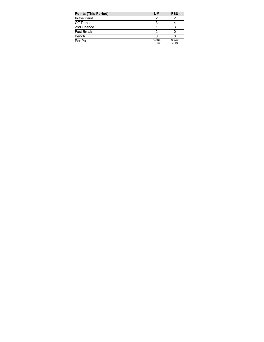| <b>Points (This Period)</b> | <b>UM</b>     | <b>FSU</b>    |
|-----------------------------|---------------|---------------|
| In the Paint                |               |               |
| Off Turns                   |               |               |
| 2nd Chance                  |               |               |
| <b>Fast Break</b>           |               |               |
| Bench                       |               |               |
| Per Poss                    | 0.684<br>5/19 | 0.947<br>9/19 |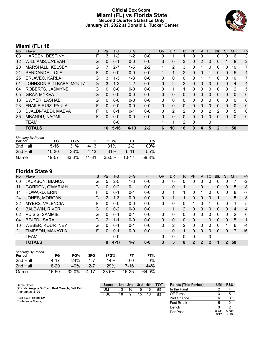#### **Official Box Score Miami (FL) vs Florida State Second Quarter Statistics Only January 21, 2022 at Donald L. Tucker Center**



# **Miami (FL) 16**

| No.               | Plaver                    | S  | Pts          | <b>FG</b> | 3FG      | <b>FT</b> | 0R           | <b>DR</b>      | TR | PF | A            | TO | <b>BIK</b> | <b>Stl</b>   | Min | $+/-$          |
|-------------------|---------------------------|----|--------------|-----------|----------|-----------|--------------|----------------|----|----|--------------|----|------------|--------------|-----|----------------|
| 03                | <b>HARDEN, DESTINY</b>    | F  | 3            | $1 - 2$   | 1-2      | $0 - 0$   | 0            |                |    | 0  | $\Omega$     |    | 0          | 0            | 6   | 3              |
| $12 \overline{ }$ | <b>WILLIAMS, JA'LEAH</b>  | G  | $\mathbf{0}$ | $0 - 1$   | $0 - 0$  | $0-0$     | 3            | $\mathbf{0}$   | 3  | 0  | 2            | 0  | 0          |              | 8   | 2              |
| 20                | MARSHALL, KELSEY          | G  |              | $2 - 7$   | $1 - 5$  | $2 - 2$   |              | $\overline{2}$ | 3  | 0  |              | 0  | 0          | $\Omega$     | 10  | 7              |
| 21                | PENDANDE, LOLA            | F. | 0            | $0 - 0$   | $0 - 0$  | $0-0$     |              |                | 2  | 0  | $\mathbf{0}$ |    | 0          | $\mathbf{0}$ | 5   | $\overline{4}$ |
| 25                | ERJAVEC, KARLA            | G  | 3            | $1 - 3$   | 1-3      | $0 - 0$   | $\Omega$     | 0              | 0  | 0  |              |    | 0          | $\Omega$     | 10  | 7              |
| 01                | JOHNSON SIDI BABA, MOULA  | G  | 3            | $1 - 2$   | $1 - 2$  | $0 - 0$   | $\Omega$     | 2              | 2  | 0  | 0            | 0  | 0          | 0            | 4   | 4              |
| 04                | ROBERTS, JASMYNE          | G  | 0            | $0 - 0$   | $0 - 0$  | $0 - 0$   | $\Omega$     |                | 1  | 0  | $\Omega$     | 0  | 0          | $\Omega$     | 2   | 5              |
| 05                | <b>GRAY, MYKEA</b>        | G  | $\Omega$     | $0 - 0$   | $0 - 0$  | $0-0$     | $\mathbf{0}$ | 0              | 0  | 0  | $\mathbf{0}$ | 0  | 0          | $\mathbf{0}$ | 0   | 0              |
| 13                | DWYER, LASHAE             | G  | $\Omega$     | $0 - 0$   | $0 - 0$  | $0 - 0$   | $\Omega$     | 0              | 0  | 0  | $\Omega$     | 0  | 0          | 0            | 0   | 0              |
| 23                | <b>FRAILE RUIZ, PAULA</b> | F  | $\Omega$     | $0 - 0$   | $0 - 0$  | $0 - 0$   | $\Omega$     | $\mathbf{0}$   | 0  | 0  | $\Omega$     | 0  | 0          | $\Omega$     | 0   | 0              |
| 33                | DJALDI-TABDI, MAEVA       | F  | 0            | $0 - 1$   | $0 - 1$  | $0 - 0$   | $\Omega$     | 2              | 2  | 0  | $\Omega$     | 2  | 2          | 0            | 5   | 0              |
| 35                | <b>MBANDU, NAOMI</b>      | F  | $\Omega$     | $0 - 0$   | $0 - 0$  | $0 - 0$   | $\mathbf{0}$ | $\mathbf{0}$   | 0  | 0  | $\Omega$     | 0  | 0          | $\Omega$     | 0   | 0              |
|                   | <b>TEAM</b>               |    |              | $0 - 0$   |          |           | 1            | 1              | 2  | 0  |              | 0  |            |              |     |                |
|                   | <b>TOTALS</b>             |    | 16           | $5 - 16$  | $4 - 13$ | $2 - 2$   | 6            | 10             | 16 | 0  | 4            | 5  | 2          |              | 50  |                |

| <b>Shooting By Period</b><br>Period | FG        | FG%   | 3FG   | 3FG%     | FT        | FT%   |
|-------------------------------------|-----------|-------|-------|----------|-----------|-------|
| 2nd Half                            | $5 - 16$  | 31%   | 4-13  | 31%      | $2-2$     | 100%  |
| 2nd Half                            | $10 - 30$ | 33%   | 4-13  | 31%      | հ-11      | 55%   |
| Game                                | 19-57     | 33.3% | 11-31 | $35.5\%$ | $10 - 17$ | 58.8% |

| No. | Plaver                  | S  | Pts           | FG.     | 3FG     | <b>FT</b> | <b>OR</b> | <b>DR</b> | TR             | PF            | A            | TO       | <b>Blk</b> | <b>Stl</b>     | Min | $+/-$          |
|-----|-------------------------|----|---------------|---------|---------|-----------|-----------|-----------|----------------|---------------|--------------|----------|------------|----------------|-----|----------------|
| 00  | <b>JACKSON, BIANCA</b>  | G  | 5             | $2 - 5$ | 1-3     | $0-0$     | 0         | 0         | 0              | 0             | 0            | 0        | 0          | 0              |     | $-2$           |
| 11  | <b>GORDON, O'MARIAH</b> | G  | 0             | $0 - 2$ | $0 - 1$ | $0 - 0$   |           | 0         | 1              |               | 0            |          | 0          | 0              | 5   | -8             |
| 14  | HOWARD, ERIN            | F  | 0             | $0 - 1$ | 0-1     | $0-0$     | 0         | ⊣         | 1.             | 0             |              | 0        | 0          | 0              | 8   | $-7$           |
| 24  | JONES, MORGAN           | G  | 2             | $1 - 3$ | $0 - 0$ | $0 - 0$   | 0         |           | 1              | 0             | $\mathbf{0}$ | $\Omega$ |            |                | 5   | -8             |
| 32  | <b>MYERS, VALENCIA</b>  | F  | $\Omega$      | $0 - 0$ | $0 - 0$ | $0 - 0$   | 0         | 0         | 0              |               | 0            |          | 0          | $\Omega$       | 1   | 5              |
| 01  | <b>BALDWIN, RIVER</b>   | С  | $\Omega$      | $0 - 2$ | $0 - 0$ | $0 - 0$   |           | 1         | $\overline{2}$ | 0             | $\mathbf{0}$ | $\Omega$ | 0          | $\Omega$       | 4   | $\overline{4}$ |
| 02  | PUISIS, SAMMIE          | G  | 0             | $0 - 1$ | $0 - 1$ | $0 - 0$   | 0         | 0         | 0              | 0             | 0            | $\Omega$ | 0          | 0              | 2   | 0              |
| 04  | <b>BEJEDI, SARA</b>     | G  | $\mathcal{P}$ | $1 - 1$ | $0 - 0$ | $0 - 0$   | $\Omega$  | 0         | 0              | 0             |              | $\Omega$ | 0          | $\overline{0}$ | 5   | 1              |
| 10  | <b>WEBER, KOURTNEY</b>  | G  | 0             | $0 - 1$ | $0 - 1$ | $0 - 0$   | 0         | 2         | 2              | 0             | 0            | ∩        | 0          |                | 6   | -4             |
| 21  | TIMPSON, MAKAYLA        | F. | 0             | $0 - 1$ | $0 - 0$ | $0 - 0$   | 1         | 0         | 1              | 0             | $\Omega$     | $\Omega$ | 0          | $\Omega$       |     | $-16$          |
|     | <b>TEAM</b>             |    |               | $0 - 0$ |         |           | 0         | 0         | 0              | 0             |              | 0        |            |                |     |                |
|     | <b>TOTALS</b>           |    | 9             | 4-17    | $1 - 7$ | $0 - 0$   | 3         | 5         | 8              | $\mathcal{P}$ | 2            | 2        | 1          | $\mathcal{P}$  | 50  |                |

| <b>Shooting By Period</b><br>Period | FG       | FG%   | 3FG      | 3FG%  | FТ        | FT%   |
|-------------------------------------|----------|-------|----------|-------|-----------|-------|
| 2nd Half                            | 4-17     | 24%   | $1 - 7$  | 14%   | ი-ი       | $0\%$ |
| 2nd Half                            | $8 - 20$ | 40%   | $2 - 7$  | 29%   | 7-16      | 44%   |
| Game                                | 16-50    | 32.0% | $4 - 17$ | 23.5% | $16 - 25$ | 64.0% |

| Game Notes:                                                          | <b>Score</b> | 1st l | 2nd | 3rd | 4th | <b>TOT</b> | <b>Points (This Period)</b> | UM            | <b>FSU</b>    |
|----------------------------------------------------------------------|--------------|-------|-----|-----|-----|------------|-----------------------------|---------------|---------------|
| Officials: Angela Suffren, Rod Creech, Saif Esho<br>Attendance: 2190 | UM           | 13    | 16  | 15  | 15  | 59         | In the Paint                |               |               |
|                                                                      | <b>FSU</b>   | 18    |     | 15  | 10  | 52         | Off Turns                   |               |               |
| Start Time: 01:00 AM                                                 |              |       |     |     |     |            | 2nd Chance                  |               |               |
| Conference Game;                                                     |              |       |     |     |     |            | Fast Break                  |               |               |
|                                                                      |              |       |     |     |     |            | Bench                       |               |               |
|                                                                      |              |       |     |     |     |            | Per Poss                    | 0.941<br>6/17 | 0.563<br>4/16 |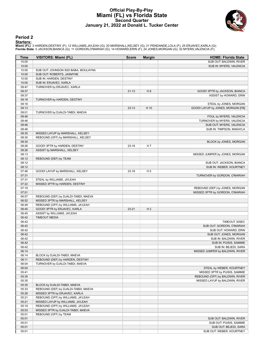### **Official Play-By-Play Miami (FL) vs Florida State Second Quarter January 21, 2022 at Donald L. Tucker Center**



#### **Period 2**

<mark>Starters:</mark><br>Miami (FL): 3 HARDEN,DESTINY (F); 12 WILLIAMS,JA'LEAH (G); 20 MARSHALL,KELSEY (G); 21 PENDANDE,LOLA (F); 25 ERJAVEC,KARLA (G);<br>Florida State: 0 JACKSON,BIANCA (G); 11 GORDON,O'MARIAH (G); 14 HOWARD,ERIN (F); 2

| Time           | VISITORS: Miami (FL)                 | <b>Score</b> | <b>Margin</b>  | <b>HOME: Florida State</b>        |
|----------------|--------------------------------------|--------------|----------------|-----------------------------------|
| 10:00          |                                      |              |                | SUB OUT: BALDWIN, RIVER           |
| 10:00          |                                      |              |                | SUB IN: MYERS, VALENCIA           |
| 10:00          | SUB OUT: JOHNSON SIDI BABA, MOULAYNA |              |                |                                   |
| 10:00          | SUB OUT: ROBERTS, JASMYNE            |              |                |                                   |
| 10:00          | SUB IN: HARDEN, DESTINY              |              |                |                                   |
| 10:00          | SUB IN: ERJAVEC, KARLA               |              |                |                                   |
| 09:47          | TURNOVER by ERJAVEC, KARLA           |              |                |                                   |
| 09:37          |                                      | $21 - 13$    | H <sub>8</sub> | GOOD! 3PTR by JACKSON, BIANCA     |
| 09:37          |                                      |              |                | ASSIST by HOWARD, ERIN            |
| 09:18          | TURNOVER by HARDEN, DESTINY          |              |                |                                   |
| 09:18          |                                      |              |                | STEAL by JONES, MORGAN            |
| 09:13          |                                      | $23-13$      | H 10           | GOOD! LAYUP by JONES, MORGAN [FB] |
| 09:01          | TURNOVER by DJALDI-TABDI, MAEVA      |              |                |                                   |
| 08:46          |                                      |              |                | FOUL by MYERS, VALENCIA           |
| 08:46<br>08:46 |                                      |              |                | TURNOVER by MYERS, VALENCIA       |
|                |                                      |              |                | SUB OUT: MYERS, VALENCIA          |
| 08:46<br>08:30 | MISSED LAYUP by MARSHALL, KELSEY     |              |                | SUB IN: TIMPSON, MAKAYLA          |
| 08:30          |                                      |              |                |                                   |
| 08:30          | REBOUND (OFF) by MARSHALL, KELSEY    |              |                |                                   |
| 08:26          | GOOD! 3PTR by HARDEN, DESTINY        | 23-16        | H 7            | BLOCK by JONES, MORGAN            |
| 08:26          | ASSIST by MARSHALL, KELSEY           |              |                |                                   |
| 08:13          |                                      |              |                | MISSED JUMPER by JONES, MORGAN    |
| 08:12          | REBOUND (DEF) by TEAM                |              |                |                                   |
| 08:12          |                                      |              |                | SUB OUT: JACKSON, BIANCA          |
| 08:12          |                                      |              |                | SUB IN: WEBER, KOURTNEY           |
| 07:46          | GOOD! LAYUP by MARSHALL, KELSEY      | 23-18        | H <sub>5</sub> |                                   |
| 07:31          |                                      |              |                | TURNOVER by GORDON, O'MARIAH      |
| 07:31          | STEAL by WILLIAMS, JA'LEAH           |              |                |                                   |
| 07:22          | MISSED 3PTR by HARDEN, DESTINY       |              |                |                                   |
| 07:19          |                                      |              |                | REBOUND (DEF) by JONES, MORGAN    |
| 07:01          |                                      |              |                | MISSED 3PTR by GORDON, O'MARIAH   |
| 06:57          | REBOUND (DEF) by DJALDI-TABDI, MAEVA |              |                |                                   |
| 06:52          | MISSED 3PTR by MARSHALL, KELSEY      |              |                |                                   |
| 06:49          | REBOUND (OFF) by WILLIAMS, JA'LEAH   |              |                |                                   |
| 06:45          | GOOD! 3PTR by ERJAVEC, KARLA         | $23 - 21$    | H <sub>2</sub> |                                   |
| 06:45          | ASSIST by WILLIAMS, JA'LEAH          |              |                |                                   |
| 06:42          | <b>TIMEOUT MEDIA</b>                 |              |                |                                   |
| 06:42          |                                      |              |                | TIMEOUT 30SEC                     |
| 06:42          |                                      |              |                | SUB OUT: GORDON, O'MARIAH         |
| 06:42          |                                      |              |                | SUB OUT: HOWARD, ERIN             |
| 06:42          |                                      |              |                | SUB OUT: JONES, MORGAN            |
| 06:42          |                                      |              |                | SUB IN: BALDWIN, RIVER            |
| 06:42          |                                      |              |                | SUB IN: PUISIS, SAMMIE            |
| 06:42          |                                      |              |                | SUB IN: BEJEDI, SARA              |
| 06:14          |                                      |              |                | MISSED JUMPER by BALDWIN, RIVER   |
| 06:14          | BLOCK by DJALDI-TABDI, MAEVA         |              |                |                                   |
| 06:11          | REBOUND (DEF) by HARDEN, DESTINY     |              |                |                                   |
| 06:04          | TURNOVER by DJALDI-TABDI, MAEVA      |              |                |                                   |
| 06:04          |                                      |              |                | STEAL by WEBER, KOURTNEY          |
| 05:41          |                                      |              |                | MISSED 3PTR by PUISIS, SAMMIE     |
| 05:35          |                                      |              |                | REBOUND (OFF) by BALDWIN, RIVER   |
| 05:35          |                                      |              |                | MISSED LAYUP by BALDWIN, RIVER    |
| 05:35          | BLOCK by DJALDI-TABDI, MAEVA         |              |                |                                   |
| 05:33          | REBOUND (DEF) by DJALDI-TABDI, MAEVA |              |                |                                   |
| 05:28          | MISSED 3PTR by ERJAVEC, KARLA        |              |                |                                   |
| 05:21          | REBOUND (OFF) by WILLIAMS, JA'LEAH   |              |                |                                   |
| 05:21          | MISSED LAYUP by WILLIAMS, JA'LEAH    |              |                |                                   |
| 05:19          | REBOUND (OFF) by WILLIAMS, JA'LEAH   |              |                |                                   |
| 05:03          | MISSED 3PTR by DJALDI-TABDI, MAEVA   |              |                |                                   |
| 05:01          | REBOUND (OFF) by TEAM                |              |                |                                   |
| 05:01          |                                      |              |                | SUB OUT: BALDWIN, RIVER           |
| 05:01          |                                      |              |                | SUB OUT: PUISIS, SAMMIE           |
| 05:01          |                                      |              |                | SUB OUT: BEJEDI, SARA             |
| 05:01          |                                      |              |                | SUB OUT: WEBER, KOURTNEY          |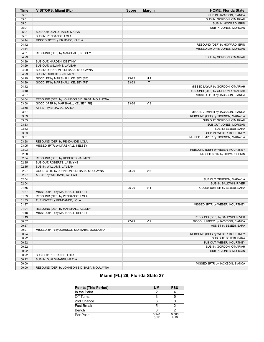| <b>Time</b>    | <b>VISITORS: Miami (FL)</b>                  | <b>Score</b> | <b>Margin</b>  | <b>HOME: Florida State</b>                                |
|----------------|----------------------------------------------|--------------|----------------|-----------------------------------------------------------|
| 05:01          |                                              |              |                | SUB IN: JACKSON, BIANCA                                   |
| 05:01          |                                              |              |                | SUB IN: GORDON, O'MARIAH                                  |
| 05:01          |                                              |              |                | SUB IN: HOWARD, ERIN                                      |
| 05:01          |                                              |              |                | SUB IN: JONES, MORGAN                                     |
| 05:01          | SUB OUT: DJALDI-TABDI, MAEVA                 |              |                |                                                           |
| 05:01          | SUB IN: PENDANDE, LOLA                       |              |                |                                                           |
| 04:44          | MISSED 3PTR by ERJAVEC, KARLA                |              |                |                                                           |
| 04:42          |                                              |              |                | REBOUND (DEF) by HOWARD, ERIN                             |
| 04:34          |                                              |              |                | MISSED LAYUP by JONES, MORGAN                             |
| 04:31          | REBOUND (DEF) by MARSHALL, KELSEY            |              |                |                                                           |
| 04:29          |                                              |              |                | FOUL by GORDON, O'MARIAH                                  |
| 04:29          | SUB OUT: HARDEN, DESTINY                     |              |                |                                                           |
| 04:29          | SUB OUT: WILLIAMS, JA'LEAH                   |              |                |                                                           |
| 04:29          | SUB IN: JOHNSON SIDI BABA, MOULAYNA          |              |                |                                                           |
| 04:29          | SUB IN: ROBERTS, JASMYNE                     |              |                |                                                           |
| 04:29          | GOOD! FT by MARSHALL, KELSEY [FB]            | 23-22        | H <sub>1</sub> |                                                           |
| 04:29          | GOOD! FT by MARSHALL, KELSEY [FB]            | 23-23        | T              |                                                           |
| 04:12          |                                              |              |                | MISSED LAYUP by GORDON, O'MARIAH                          |
| 04:10          |                                              |              |                | REBOUND (OFF) by GORDON, O'MARIAH                         |
| 04:07          |                                              |              |                | MISSED 3PTR by JACKSON, BIANCA                            |
| 04:04          | REBOUND (DEF) by JOHNSON SIDI BABA, MOULAYNA |              |                |                                                           |
| 03:58          | GOOD! 3PTR by MARSHALL, KELSEY [FB]          | 23-26        | $V_3$          |                                                           |
| 03:58          | ASSIST by ERJAVEC, KARLA                     |              |                |                                                           |
| 03:37          |                                              |              |                | MISSED JUMPER by JACKSON, BIANCA                          |
| 03:33          |                                              |              |                | REBOUND (OFF) by TIMPSON, MAKAYLA                         |
| 03:33          |                                              |              |                | SUB OUT: GORDON, O'MARIAH                                 |
| 03:33          |                                              |              |                | SUB OUT: JONES, MORGAN                                    |
| 03:33          |                                              |              |                | SUB IN: BEJEDI, SARA                                      |
| 03:33          |                                              |              |                | SUB IN: WEBER, KOURTNEY                                   |
| 03:31          |                                              |              |                | MISSED JUMPER by TIMPSON, MAKAYLA                         |
| 03:28          | REBOUND (DEF) by PENDANDE, LOLA              |              |                |                                                           |
| 03:05          | MISSED 3PTR by MARSHALL, KELSEY              |              |                |                                                           |
| 03:03          |                                              |              |                | REBOUND (DEF) by WEBER, KOURTNEY                          |
| 02:58          |                                              |              |                | MISSED 3PTR by HOWARD, ERIN                               |
| 02:54          | REBOUND (DEF) by ROBERTS, JASMYNE            |              |                |                                                           |
| 02:35          | SUB OUT: ROBERTS, JASMYNE                    |              |                |                                                           |
| 02:35          | SUB IN: WILLIAMS, JA'LEAH                    |              |                |                                                           |
| 02:27          | GOOD! 3PTR by JOHNSON SIDI BABA, MOULAYNA    | 23-29        | $V_6$          |                                                           |
| 02:27          | ASSIST by WILLIAMS, JA'LEAH                  |              |                |                                                           |
| 02:04          |                                              |              |                | SUB OUT: TIMPSON, MAKAYLA                                 |
| 02:04          |                                              |              |                | SUB IN: BALDWIN, RIVER                                    |
| 01:55          |                                              | 25-29        | V <sub>4</sub> | GOOD! JUMPER by BEJEDI, SARA                              |
| 01:37          | MISSED 3PTR by MARSHALL, KELSEY              |              |                |                                                           |
| 01:33          | REBOUND (OFF) by PENDANDE, LOLA              |              |                |                                                           |
| 01:33          | TURNOVER by PENDANDE, LOLA                   |              |                |                                                           |
| 01:27          |                                              |              |                | MISSED 3PTR by WEBER, KOURTNEY                            |
| 01:24          | REBOUND (DEF) by MARSHALL, KELSEY            |              |                |                                                           |
| 01:18          | MISSED 3PTR by MARSHALL, KELSEY              |              |                |                                                           |
| 01:13          |                                              |              |                | REBOUND (DEF) by BALDWIN, RIVER                           |
| 00:57          |                                              | 27-29        | V <sub>2</sub> | GOOD! JUMPER by JACKSON, BIANCA                           |
| 00:57          |                                              |              |                | ASSIST by BEJEDI, SARA                                    |
| 00:27          | MISSED 3PTR by JOHNSON SIDI BABA, MOULAYNA   |              |                |                                                           |
| 00:24          |                                              |              |                | REBOUND (DEF) by WEBER, KOURTNEY<br>SUB OUT: BEJEDI, SARA |
| 00:22<br>00:22 |                                              |              |                |                                                           |
|                |                                              |              |                | SUB OUT: WEBER, KOURTNEY<br>SUB IN: GORDON, O'MARIAH      |
| 00:22<br>00:22 |                                              |              |                |                                                           |
|                | SUB OUT: PENDANDE, LOLA                      |              |                | SUB IN: JONES, MORGAN                                     |
| 00:22<br>00:22 |                                              |              |                |                                                           |
| 00:00          | SUB IN: DJALDI-TABDI, MAEVA                  |              |                |                                                           |
| 00:00          | REBOUND (DEF) by JOHNSON SIDI BABA, MOULAYNA |              |                | MISSED 3PTR by JACKSON, BIANCA                            |
|                |                                              |              |                |                                                           |

# **Miami (FL) 29, Florida State 27**

| <b>Points (This Period)</b> | UM            | <b>FSU</b>    |
|-----------------------------|---------------|---------------|
| In the Paint                |               |               |
| Off Turns                   |               |               |
| 2nd Chance                  |               |               |
| <b>Fast Break</b>           |               |               |
| Bench                       |               |               |
| Per Poss                    | 0.941<br>6/17 | 0.563<br>4/16 |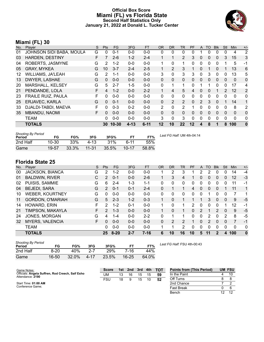### **Official Box Score Miami (FL) vs Florida State Second Half Statistics Only January 21, 2022 at Donald L. Tucker Center**



# **Miami (FL) 30**

| No. | Plaver                    | S  | <b>Pts</b>   | FG        | 3FG      | <b>FT</b> | <b>OR</b> | <b>DR</b>      | TR             | <b>PF</b> | A              | <b>TO</b>    | <b>Blk</b>   | Stl            | Min          | $+/-$          |
|-----|---------------------------|----|--------------|-----------|----------|-----------|-----------|----------------|----------------|-----------|----------------|--------------|--------------|----------------|--------------|----------------|
| 01  | JOHNSON SIDI BABA, MOULA  | G  | 0            | $0 - 1$   | $0 - 0$  | $0 - 0$   | 0         | 0              | 0              | 0         |                | 0            | $\Omega$     | 0              | 4            | 2              |
| 03  | <b>HARDEN, DESTINY</b>    | F  |              | $2 - 6$   | $1 - 2$  | $2 - 4$   |           | 1              | $\overline{2}$ | 3         | 0              | 0            | $\mathbf{0}$ | 3              | 15           | 3              |
| 04  | ROBERTS, JASMYNE          | G  | 2            | $1 - 2$   | $0 - 0$  | $0 - 0$   |           | 0              |                | 0         | $\mathbf{0}$   | 0            | $\Omega$     |                | 5            | -1             |
| 05  | <b>GRAY, MYKEA</b>        | G  | 10           | $3 - 7$   | $2 - 4$  | $2 - 5$   |           | 2              | 3              |           | 0              |              | 0            |                | 13           | 6              |
| 12  | <b>WILLIAMS, JA'LEAH</b>  | G  | 2            | $1 - 1$   | $0 - 0$  | $0 - 0$   | 3         | 0              | 3              | 3         | $\mathbf{0}$   | 3            | $\Omega$     | 0              | 13           | 5              |
| 13  | DWYER, LASHAE             | G  | $\Omega$     | $0 - 0$   | $0 - 0$  | $0 - 0$   | $\Omega$  | $\Omega$       | $\mathbf{0}$   | 0         | 0              | $\mathbf{0}$ | $\Omega$     | $\mathbf{0}$   | $\mathbf{0}$ | 0              |
| 20  | <b>MARSHALL, KELSEY</b>   | G  | 5            | $2 - 7$   | $1 - 5$  | $0 - 0$   | 0         | 1              |                | 0         |                |              | 0            | $\Omega$       | 17           | 4              |
| 21  | PENDANDE, LOLA            | F. | 4            | $1 - 2$   | $0 - 0$  | $2 - 2$   |           | 4              | 5              | 4         | 0              | 0            |              | $\overline{2}$ | 12           | $\overline{2}$ |
| 23  | <b>FRAILE RUIZ, PAULA</b> | F  | 0            | $0 - 0$   | $0 - 0$  | $0 - 0$   | 0         | 0              | $\Omega$       | 0         | 0              | 0            | $\Omega$     | 0              | 0            | 0              |
| 25  | ERJAVEC, KARLA            | G  | $\mathbf{0}$ | $0 - 1$   | $0 - 0$  | $0 - 0$   | 0         | $\overline{2}$ | $\overline{2}$ | 0         | $\overline{2}$ | 3            | $\mathbf{0}$ | 1              | 14           | 1              |
| 33  | DJALDI-TABDI, MAEVA       | F  | 0            | $0 - 3$   | $0 - 2$  | $0 - 0$   | 2         | 0              | 2              |           | 0              | 0            | $\mathbf 0$  | 0              | 8            | 2              |
| 35  | <b>MBANDU, NAOMI</b>      | F  | 0            | $0 - 0$   | $0 - 0$  | $0 - 0$   | 0         | $\Omega$       | $\mathbf{0}$   | 0         | 0              | $\Omega$     | 0            | $\mathbf{0}$   | $\mathbf{0}$ | 0              |
|     | <b>TEAM</b>               |    | 0            | $0 - 0$   | $0 - 0$  | $0 - 0$   | 3         | 0              | 3              | 0         | 0              | 0            | 0            | 0              | $\Omega$     | 0              |
|     | <b>TOTALS</b>             |    | 30           | $10 - 30$ | $4 - 13$ | $6 - 11$  | 12        | 10             | 22             | 12        | 4              | 8            |              | 8              | 100          | 0              |

| <b>Shooting By Period</b><br>Period | FG        | FG%   | 3FG       | 3FG%  |             | FT%   | Last FG Half: UM 4th-04:14 |
|-------------------------------------|-----------|-------|-----------|-------|-------------|-------|----------------------------|
| 2nd Half                            | $10 - 30$ | 33%   | $4 - 13$  | 31%   | <b>6-11</b> | 55%   |                            |
| Game                                | 19-57     | 33.3% | $11 - 31$ | 35.5% | $10 - 17$   | 58.8% |                            |

# **Florida State 25**

| No. | Plaver                  | S  | <b>Pts</b>     | <b>FG</b> | 3FG     | <b>FT</b> | <b>OR</b> | DR       | TR | PF       | A        | TO       | <b>B</b> lk   | Stl      | Min | $+/-$        |
|-----|-------------------------|----|----------------|-----------|---------|-----------|-----------|----------|----|----------|----------|----------|---------------|----------|-----|--------------|
| 00  | JACKSON, BIANCA         | G  | $\overline{2}$ | $1 - 2$   | $0 - 0$ | $0 - 0$   |           | 2        | 3  |          | 2        | 2        | 0             | 0        | 14  | $-4$         |
| 01  | <b>BALDWIN, RIVER</b>   | С  | 2              | $0 - 1$   | $0 - 0$ | $2 - 6$   |           | 3        | 4  |          | 0        | 0        | 0             | 0        | 12  | -3           |
| 02  | PUISIS, SAMMIE          | G  | 6              | $2 - 4$   | $1 - 3$ | 1-1       | 0         | 0        | 0  | 0        | 0        | 0        | 0             | 0        | 11  | -1           |
| 04  | <b>BEJEDI, SARA</b>     | G  | $\mathcal{P}$  | $0 - 1$   | $0 - 1$ | $2 - 4$   | $\Omega$  |          | 1  | 4        | 0        | $\Omega$ | 0             |          | 11  | $\mathbf{1}$ |
| 10  | <b>WEBER, KOURTNEY</b>  | G  | 0              | $0 - 0$   | $0 - 0$ | $0 - 0$   | $\Omega$  | 0        | 0  | 0        | 0        |          | 0             | 0        |     |              |
| 11  | <b>GORDON, O'MARIAH</b> | G  | 5              | $2 - 3$   | $1 - 2$ | $0 - 3$   | 1         | 0        |    |          | 1        | 3        | 0             | $\Omega$ | 9   | -5           |
| 14  | HOWARD, ERIN            | F  | $\mathcal{P}$  | $1 - 2$   | $0 - 1$ | $0 - 0$   | 1.        | $\Omega$ | 1  | 2        | $\Omega$ | 0        | 0             |          | 12  | $-1$         |
| 21  | TIMPSON, MAKAYLA        | F. | $\mathcal{P}$  | $1 - 3$   | $0 - 0$ | $0 - 0$   |           | 0        |    | $\Omega$ | 2        | 1        | $\mathcal{P}$ | $\Omega$ | 9   | $-5$         |
| 24  | JONES, MORGAN           | G  | 4              | 1-4       | $0 - 0$ | $2 - 2$   | $\Omega$  |          |    | 0        | 0        | 2        | 0             | 2        | 8   | $-5$         |
| 32  | <b>MYERS, VALENCIA</b>  | F  | 0              | $0 - 0$   | $0 - 0$ | $0 - 0$   | 0         | 2        | 2  |          | 0        | 2        | 0             | 0        | 7   | $-1$         |
|     | <b>TEAM</b>             |    | 0              | $0 - 0$   | $0 - 0$ | $0 - 0$   |           |          | 2  | 0        | 0        | 0        | 0             | 0        | 0   | 0            |
|     | <b>TOTALS</b>           |    | 25             | $8 - 20$  | $2 - 7$ | $7 - 16$  | 6         | 10       | 16 | 10       | 5        | 11       | 2             | 4        | 100 | $\mathbf 0$  |

| <b>Shooting By Period</b><br>Period | FG       | FG%   | 3FG      | 3FG%  | FТ        | FT%   | Last I |
|-------------------------------------|----------|-------|----------|-------|-----------|-------|--------|
| 2nd Half                            | $8 - 20$ | 40%   | $2 - 7$  | 29%   | 7-16      | 44%   |        |
| Game                                | 16-50    | 32.0% | $4 - 17$ | 23.5% | $16 - 25$ | 64.0% |        |

*Last FG Half:* FSU 4th-00:43

| Game Notes:                                                          | <b>Score</b> | 1st | 2nd | 3rd | 4th | <b>TOT</b> | <b>Points from (This Period)</b> |    | <b>UM FSU</b> |
|----------------------------------------------------------------------|--------------|-----|-----|-----|-----|------------|----------------------------------|----|---------------|
| Officials: Angela Suffren, Rod Creech, Saif Esho<br>Attendance: 2190 | UM           |     | 16  | 15  | 15  | 59         | In the Paint                     |    |               |
|                                                                      | <b>FSU</b>   | 18  |     | 15  | 10  | 52         | Off Turns                        |    |               |
| Start Time: 01:00 AM                                                 |              |     |     |     |     |            | 2nd Chance                       |    |               |
| Conference Game:                                                     |              |     |     |     |     |            | <b>Fast Break</b>                |    |               |
|                                                                      |              |     |     |     |     |            | Bench                            | 12 | 1 O           |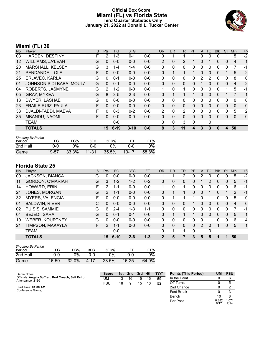#### **Official Box Score Miami (FL) vs Florida State Third Quarter Statistics Only January 21, 2022 at Donald L. Tucker Center**



# **Miami (FL) 30**

| No.               | Plaver                    | S  | <b>Pts</b>   | <b>FG</b> | 3FG      | <b>FT</b> | 0R           | <b>DR</b>    | TR             | <b>PF</b> | A            | TO | <b>BIK</b> | <b>Stl</b>   | Min            | $+/-$        |
|-------------------|---------------------------|----|--------------|-----------|----------|-----------|--------------|--------------|----------------|-----------|--------------|----|------------|--------------|----------------|--------------|
| 03                | <b>HARDEN, DESTINY</b>    | F  | 2            | $1 - 3$   | $0 - 1$  | $0 - 0$   | 0            |              |                |           | $\Omega$     | 0  | 0          |              | 5              | $-2$         |
| $12 \overline{ }$ | <b>WILLIAMS, JA'LEAH</b>  | G  | 0            | $0 - 0$   | $0 - 0$  | $0-0$     | 2            | 0            | 2              |           | 0            |    | 0          | $\mathbf{0}$ | 4              | 1            |
| 20                | MARSHALL, KELSEY          | G  | 3            | $1 - 4$   | $1 - 4$  | $0-0$     | $\Omega$     | 0            | 0              | 0         | $\Omega$     | 0  | 0          | 0            | 7              | -1           |
| 21                | PENDANDE, LOLA            | F  | $\mathbf{0}$ | $0 - 0$   | $0 - 0$  | $0-0$     | $\mathbf{0}$ |              |                |           | $\mathbf{0}$ | 0  | 0          |              | 5              | $-2$         |
| 25                | ERJAVEC, KARLA            | G  | 0            | $0 - 1$   | $0 - 0$  | $0 - 0$   | $\Omega$     | 0            | 0              | 0         | 2            | 2  | 0          | $\Omega$     | 8              | $\mathbf{0}$ |
| 01                | JOHNSON SIDI BABA, MOULA  | G  | $\Omega$     | $0 - 1$   | $0 - 0$  | $0-0$     | $\Omega$     | $\mathbf{0}$ | 0              | 0         |              | 0  | 0          | $\Omega$     | $\overline{4}$ | 2            |
| 04                | ROBERTS, JASMYNE          | G  | 2            | $1 - 2$   | $0 - 0$  | $0 - 0$   | 1            | 0            | 1              | 0         | $\Omega$     | 0  | 0          |              | 5              | -1           |
| 05                | <b>GRAY, MYKEA</b>        | G  | 8            | $3 - 5$   | $2 - 3$  | $0 - 0$   | $\mathbf{0}$ |              |                |           | $\Omega$     | 0  | 0          |              |                | 1            |
| 13                | DWYER, LASHAE             | G  | $\Omega$     | $0 - 0$   | $0 - 0$  | $0-0$     | $\Omega$     | 0            | 0              | 0         | $\Omega$     | 0  | 0          | $\Omega$     | $\Omega$       | 0            |
| 23                | <b>FRAILE RUIZ, PAULA</b> | F  | $\Omega$     | $0 - 0$   | $0 - 0$  | $0-0$     | $\Omega$     | $\mathbf{0}$ | 0              | 0         | $\mathbf{0}$ | 0  | 0          | $\Omega$     | $\mathbf{0}$   | $\mathbf 0$  |
| 33                | DJALDI-TABDI, MAEVA       | F  | 0            | $0 - 3$   | $0 - 2$  | $0 - 0$   | 2            | $\Omega$     | $\overline{2}$ | 0         | $\Omega$     | 0  | 0          | $\Omega$     | 5              | 2            |
| 35                | <b>MBANDU, NAOMI</b>      | F. | $\Omega$     | $0 - 0$   | $0 - 0$  | $0 - 0$   | $\Omega$     | $\Omega$     | 0              | 0         | $\Omega$     | 0  | 0          | $\Omega$     | $\mathbf{0}$   | $\mathbf 0$  |
|                   | <b>TEAM</b>               |    |              | $0 - 0$   |          |           | 3            | 0            | 3              | 0         |              | 0  |            |              |                |              |
|                   | <b>TOTALS</b>             |    | 15           | $6 - 19$  | $3 - 10$ | $0 - 0$   | 8            | 3            | 11             | 4         | 3            | 3  | 0          | 4            | 50             |              |

| <b>Shooting By Period</b><br>Period | FG    | FG%   | 3FG       | 3FG%  | FТ        | FT%   |
|-------------------------------------|-------|-------|-----------|-------|-----------|-------|
| 2nd Half                            | ი-ი   | 0%    | റ-റ       | 0%    | റ-റ       | 0%    |
| Game                                | 19-57 | 33.3% | $11 - 31$ | 35.5% | $10 - 17$ | 58.8% |

| No. | Player                  | S  | Pts           | FG.      | 3FG     | <b>FT</b> | 0R           | <b>DR</b> | <b>TR</b> | PF | A             | TO       | <b>Blk</b> | <b>Stl</b>   | Min | $+/-$        |
|-----|-------------------------|----|---------------|----------|---------|-----------|--------------|-----------|-----------|----|---------------|----------|------------|--------------|-----|--------------|
| 00  | <b>JACKSON, BIANCA</b>  | G  | $\Omega$      | $0 - 0$  | $0 - 0$ | $0 - 0$   |              |           | 2         | 0  | 2             |          | 0          | 0            | 5   | $-2$         |
| 11  | <b>GORDON, O'MARIAH</b> | G  | 3             | $1 - 2$  | $1 - 2$ | $0 - 2$   | 0            | 0         | 0         | 0  |               |          | 0          | 0            | 5   | $-1$         |
| 14  | HOWARD, ERIN            | F  | 2             | 1-1      | $0 - 0$ | $0 - 0$   | 1            | 0         | 1         | 0  | 0             | ∩        | 0          | 0            | 6   | $-1$         |
| 24  | JONES, MORGAN           | G  | 2             | $1 - 1$  | $0 - 0$ | $0 - 0$   | $\Omega$     |           | 1.        | 0  | $\Omega$      |          | $\Omega$   |              | 2   | $-1$         |
| 32  | <b>MYERS, VALENCIA</b>  | F. | 0             | $0 - 0$  | $0 - 0$ | $0 - 0$   | 0            |           | 1         | 1  | 0             |          | 0          | $\Omega$     | 5   | 0            |
| 01  | <b>BALDWIN, RIVER</b>   | С  | $\Omega$      | $0 - 0$  | $0 - 0$ | $0 - 0$   | 0            | 0         | 0         |    | 0             | $\Omega$ | $\Omega$   | $\mathbf{0}$ | 4   | $\mathbf{0}$ |
| 02  | PUISIS, SAMMIE          | G  | 6             | $2 - 4$  | $1 - 3$ | $1 - 1$   | 0            | 0         | $\Omega$  | 0  | 0             | 0        | 0          | 0            |     | $-1$         |
| 04  | <b>BEJEDI, SARA</b>     | G  | $\Omega$      | $0 - 1$  | $0 - 1$ | $0 - 0$   | 0            |           |           |    | 0             | $\Omega$ | 0          | $\mathbf{0}$ | 5   | 1            |
| 10  | <b>WEBER, KOURTNEY</b>  | G  | 0             | $0 - 0$  | $0 - 0$ | $0 - 0$   | 0            | 0         | 0         | 0  | 0             |          | 0          | $\Omega$     | 6   | 4            |
| 21  | TIMPSON, MAKAYLA        | F. | $\mathcal{P}$ | $1 - 1$  | $0 - 0$ | $0 - 0$   | $\Omega$     | 0         | $\Omega$  | 0  | $\mathcal{P}$ | $\Omega$ |            | $\Omega$     | 5   | 1            |
|     | <b>TEAM</b>             |    |               | $0 - 0$  |         |           | 0            | 1         | 1         | 0  |               | 0        |            |              |     |              |
|     | <b>TOTALS</b>           |    | 15            | $6 - 10$ | $2 - 6$ | $1 - 3$   | $\mathbf{2}$ | 5         |           | 3  | 5             | 5        | 1          |              | 50  |              |

| <b>Shooting By Period</b><br>Period | FG    | FG%   | 3FG  | 3FG%  |           | FT%   |
|-------------------------------------|-------|-------|------|-------|-----------|-------|
| 2nd Half                            | 0-0   | $0\%$ | በ-በ  | $0\%$ | ი-ი       | 0%    |
| Game                                | 16-50 | 32.0% | 4-17 | 23.5% | $16 - 25$ | 64.0% |

| Game Notes:                                                          | <b>Score</b> | 1st | 2nd | 3rd | $-4th$ | <b>TOT</b> | <b>Points (This Period)</b> | UM            | <b>FSU</b>    |
|----------------------------------------------------------------------|--------------|-----|-----|-----|--------|------------|-----------------------------|---------------|---------------|
| Officials: Angela Suffren, Rod Creech, Saif Esho<br>Attendance: 2190 | UM           | 13  | 16  | 15  | 15     | 59         | In the Paint                |               |               |
|                                                                      | FSU          | 18  |     | 15  | 10     | 52         | Off Turns                   |               |               |
| Start Time: 01:00 AM                                                 |              |     |     |     |        |            | 2nd Chance                  |               |               |
| Conference Game;                                                     |              |     |     |     |        |            | <b>Fast Break</b>           |               |               |
|                                                                      |              |     |     |     |        |            | Bench                       |               |               |
|                                                                      |              |     |     |     |        |            | Per Poss                    | 0.882<br>6/17 | 1.071<br>7/14 |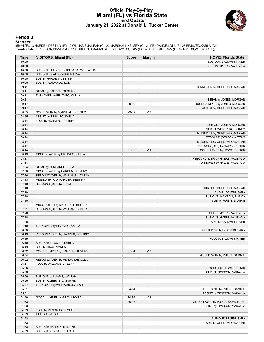### **Official Play-By-Play Miami (FL) vs Florida State Third Quarter January 21, 2022 at Donald L. Tucker Center**



#### **Period 3**

<mark>Starters:</mark><br>Miami (FL): 3 HARDEN,DESTINY (F); 12 WILLIAMS,JA'LEAH (G); 20 MARSHALL,KELSEY (G); 21 PENDANDE,LOLA (F); 25 ERJAVEC,KARLA (G);<br>Florida State: 0 JACKSON,BIANCA (G); 11 GORDON,O'MARIAH (G); 14 HOWARD,ERIN (F); 2

| Time           | <b>VISITORS: Miami (FL)</b>          | <b>Score</b> | <b>Margin</b>  | <b>HOME: Florida State</b>                         |
|----------------|--------------------------------------|--------------|----------------|----------------------------------------------------|
| 10:00          |                                      |              |                | SUB OUT: BALDWIN, RIVER                            |
| 10:00          |                                      |              |                | SUB IN: MYERS, VALENCIA                            |
| 10:00          | SUB OUT: JOHNSON SIDI BABA, MOULAYNA |              |                |                                                    |
| 10:00          | SUB OUT: DJALDI-TABDI, MAEVA         |              |                |                                                    |
| 10:00          | SUB IN: HARDEN, DESTINY              |              |                |                                                    |
| 10:00          | SUB IN: PENDANDE, LOLA               |              |                |                                                    |
| 09:41          |                                      |              |                | TURNOVER by GORDON, O'MARIAH                       |
| 09:41          | STEAL by HARDEN, DESTINY             |              |                |                                                    |
| 09:31          | TURNOVER by ERJAVEC, KARLA           |              |                |                                                    |
| 09:31          |                                      |              |                | STEAL by JONES, MORGAN                             |
| 09:17          |                                      | 29-29        | T              | GOOD! JUMPER by JONES, MORGAN                      |
| 09:17          |                                      |              |                | ASSIST by GORDON, O'MARIAH                         |
| 08:55          | GOOD! 3PTR by MARSHALL, KELSEY       | 29-32        | V <sub>3</sub> |                                                    |
| 08:55          | ASSIST by ERJAVEC, KARLA             |              |                |                                                    |
| 08:44          | FOUL by HARDEN, DESTINY              |              |                |                                                    |
| 08:44          |                                      |              |                | SUB OUT: JONES, MORGAN                             |
| 08:44          |                                      |              |                | SUB IN: WEBER, KOURTNEY                            |
| 08:44          |                                      |              |                | MISSED FT by GORDON, O'MARIAH                      |
| 08:44          |                                      |              |                | REBOUND (DEADB) by TEAM                            |
| 08:44          |                                      |              |                | MISSED FT by GORDON, O'MARIAH                      |
| 08:44          |                                      |              |                | REBOUND (OFF) by HOWARD, ERIN                      |
| 08:44          |                                      | $31 - 32$    | V <sub>1</sub> | GOOD! LAYUP by HOWARD, ERIN                        |
| 08:19          | MISSED LAYUP by ERJAVEC, KARLA       |              |                |                                                    |
| 08:17          |                                      |              |                | REBOUND (DEF) by MYERS, VALENCIA                   |
| 07:54          |                                      |              |                | TURNOVER by MYERS, VALENCIA                        |
| 07:54          | STEAL by PENDANDE, LOLA              |              |                |                                                    |
| 07:50          | MISSED LAYUP by HARDEN, DESTINY      |              |                |                                                    |
| 07:46          | REBOUND (OFF) by WILLIAMS, JA'LEAH   |              |                |                                                    |
| 07:43          | MISSED 3PTR by HARDEN, DESTINY       |              |                |                                                    |
| 07:40          | REBOUND (OFF) by TEAM                |              |                |                                                    |
| 07:40<br>07:40 |                                      |              |                | SUB OUT: GORDON, O'MARIAH                          |
| 07:40          |                                      |              |                | SUB IN: BEJEDI, SARA                               |
| 07:40          |                                      |              |                | SUB OUT: JACKSON, BIANCA<br>SUB IN: PUISIS, SAMMIE |
| 07:34          | MISSED 3PTR by MARSHALL, KELSEY      |              |                |                                                    |
| 07:31          | REBOUND (OFF) by WILLIAMS, JA'LEAH   |              |                |                                                    |
| 07:28          |                                      |              |                | FOUL by MYERS, VALENCIA                            |
| 07:28          |                                      |              |                | SUB OUT: MYERS, VALENCIA                           |
| 07:28          |                                      |              |                | SUB IN: BALDWIN, RIVER                             |
| 07:10          | TURNOVER by ERJAVEC, KARLA           |              |                |                                                    |
| 06:50          |                                      |              |                | MISSED 3PTR by BEJEDI, SARA                        |
| 06:49          | REBOUND (DEF) by HARDEN, DESTINY     |              |                |                                                    |
| 06:49          |                                      |              |                | FOUL by BALDWIN, RIVER                             |
| 06:49          | SUB OUT: ERJAVEC, KARLA              |              |                |                                                    |
| 06:49          | SUB IN: GRAY, MYKEA                  |              |                |                                                    |
| 06:32          | GOOD! JUMPER by HARDEN, DESTINY      | $31 - 34$    | $V_3$          |                                                    |
| 06:04          |                                      |              |                | MISSED 3PTR by PUISIS, SAMMIE                      |
| 06:02          | REBOUND (DEF) by PENDANDE, LOLA      |              |                |                                                    |
| 05:57          | FOUL by WILLIAMS, JA'LEAH            |              |                |                                                    |
| 05:56          |                                      |              |                | SUB OUT: HOWARD, ERIN                              |
| 05:56          |                                      |              |                | SUB IN: TIMPSON, MAKAYLA                           |
| 05:56          | SUB OUT: WILLIAMS, JA'LEAH           |              |                |                                                    |
| 05:56          | SUB IN: ROBERTS, JASMYNE             |              |                |                                                    |
| 05:57          | TURNOVER by WILLIAMS, JA'LEAH        |              |                |                                                    |
| 05:31          |                                      | 34-34        | т              | GOOD! 3PTR by PUISIS, SAMMIE                       |
| 05:31          |                                      |              |                | ASSIST by TIMPSON, MAKAYLA                         |
| 04:59          | GOOD! JUMPER by GRAY, MYKEA          | 34-36        | V <sub>2</sub> |                                                    |
| 04:53          |                                      | 36-36        | T              | GOOD! LAYUP by PUISIS, SAMMIE [FB]                 |
| 04:53          |                                      |              |                | ASSIST by TIMPSON, MAKAYLA                         |
| 04:53          | FOUL by PENDANDE, LOLA               |              |                |                                                    |
| 04:53          | <b>TIMEOUT MEDIA</b>                 |              |                |                                                    |
| 04:53          |                                      |              |                | SUB OUT: BEJEDI, SARA                              |
| 04:53          |                                      |              |                | SUB IN: GORDON, O'MARIAH                           |
| 04:53          | SUB OUT: HARDEN, DESTINY             |              |                |                                                    |
| 04:53          | SUB OUT: PENDANDE, LOLA              |              |                |                                                    |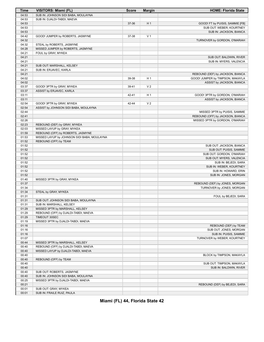| Time  | <b>VISITORS: Miami (FL)</b>                 | <b>Score</b> | <b>Margin</b>  | <b>HOME: Florida State</b>       |
|-------|---------------------------------------------|--------------|----------------|----------------------------------|
| 04:53 | SUB IN: JOHNSON SIDI BABA, MOULAYNA         |              |                |                                  |
| 04:53 | SUB IN: DJALDI-TABDI, MAEVA                 |              |                |                                  |
| 04:53 |                                             | 37-36        | H1             | GOOD! FT by PUISIS, SAMMIE [FB]  |
| 04:53 |                                             |              |                | SUB OUT: WEBER, KOURTNEY         |
| 04:53 |                                             |              |                | SUB IN: JACKSON, BIANCA          |
| 04:42 | GOOD! JUMPER by ROBERTS, JASMYNE            | 37-38        | V <sub>1</sub> |                                  |
| 04:32 |                                             |              |                | TURNOVER by GORDON, O'MARIAH     |
| 04:32 | STEAL by ROBERTS, JASMYNE                   |              |                |                                  |
| 04:28 | MISSED JUMPER by ROBERTS, JASMYNE           |              |                |                                  |
| 04:21 |                                             |              |                |                                  |
|       | FOUL by GRAY, MYKEA                         |              |                |                                  |
| 04:21 |                                             |              |                | SUB OUT: BALDWIN, RIVER          |
| 04:21 |                                             |              |                | SUB IN: MYERS, VALENCIA          |
| 04:21 | SUB OUT: MARSHALL, KELSEY                   |              |                |                                  |
| 04:21 | SUB IN: ERJAVEC, KARLA                      |              |                |                                  |
| 04:21 |                                             |              |                | REBOUND (DEF) by JACKSON, BIANCA |
| 04:02 |                                             | 39-38        | H <sub>1</sub> | GOOD! JUMPER by TIMPSON, MAKAYLA |
| 04:02 |                                             |              |                | ASSIST by JACKSON, BIANCA        |
| 03:37 | GOOD! 3PTR by GRAY, MYKEA                   | 39-41        | V <sub>2</sub> |                                  |
| 03:37 | ASSIST by ERJAVEC, KARLA                    |              |                |                                  |
| 03:11 |                                             | 42-41        | H <sub>1</sub> | GOOD! 3PTR by GORDON, O'MARIAH   |
| 03:11 |                                             |              |                | ASSIST by JACKSON, BIANCA        |
| 02:54 | GOOD! 3PTR by GRAY, MYKEA                   | 42-44        | V <sub>2</sub> |                                  |
| 02:54 | ASSIST by JOHNSON SIDI BABA, MOULAYNA       |              |                |                                  |
| 02:44 |                                             |              |                | MISSED 3PTR by PUISIS, SAMMIE    |
| 02:41 |                                             |              |                | REBOUND (OFF) by JACKSON, BIANCA |
| 02:26 |                                             |              |                | MISSED 3PTR by GORDON, O'MARIAH  |
| 02:23 | REBOUND (DEF) by GRAY, MYKEA                |              |                |                                  |
| 02:03 | MISSED LAYUP by GRAY, MYKEA                 |              |                |                                  |
| 01:59 | REBOUND (OFF) by ROBERTS, JASMYNE           |              |                |                                  |
| 01:53 | MISSED LAYUP by JOHNSON SIDI BABA, MOULAYNA |              |                |                                  |
| 01:52 | REBOUND (OFF) by TEAM                       |              |                |                                  |
| 01:52 |                                             |              |                | SUB OUT: JACKSON, BIANCA         |
| 01:52 |                                             |              |                | SUB OUT: PUISIS, SAMMIE          |
| 01:52 |                                             |              |                | SUB OUT: GORDON, O'MARIAH        |
| 01:52 |                                             |              |                | SUB OUT: MYERS, VALENCIA         |
| 01:52 |                                             |              |                | SUB IN: BEJEDI, SARA             |
| 01:52 |                                             |              |                | SUB IN: WEBER, KOURTNEY          |
| 01:52 |                                             |              |                | SUB IN: HOWARD, ERIN             |
| 01:52 |                                             |              |                | SUB IN: JONES, MORGAN            |
| 01:40 | MISSED 3PTR by GRAY, MYKEA                  |              |                |                                  |
| 01:37 |                                             |              |                | REBOUND (DEF) by JONES, MORGAN   |
| 01:34 |                                             |              |                | TURNOVER by JONES, MORGAN        |
| 01:34 | STEAL by GRAY, MYKEA                        |              |                |                                  |
| 01:31 |                                             |              |                | FOUL by BEJEDI, SARA             |
| 01:31 | SUB OUT: JOHNSON SIDI BABA, MOULAYNA        |              |                |                                  |
| 01:31 | SUB IN: MARSHALL, KELSEY                    |              |                |                                  |
| 01:29 | MISSED 3PTR by MARSHALL, KELSEY             |              |                |                                  |
| 01:29 | REBOUND (OFF) by DJALDI-TABDI, MAEVA        |              |                |                                  |
|       |                                             |              |                |                                  |
| 01:29 | TIMEOUT 30SEC                               |              |                |                                  |
| 01:19 | MISSED 3PTR by DJALDI-TABDI, MAEVA          |              |                |                                  |
| 01:16 |                                             |              |                | REBOUND (DEF) by TEAM            |
| 01:16 |                                             |              |                | SUB OUT: JONES, MORGAN           |
| 01:16 |                                             |              |                | SUB IN: PUISIS, SAMMIE           |
| 01:07 |                                             |              |                | TURNOVER by WEBER, KOURTNEY      |
| 00:44 | MISSED 3PTR by MARSHALL, KELSEY             |              |                |                                  |
| 00:40 | REBOUND (OFF) by DJALDI-TABDI, MAEVA        |              |                |                                  |
| 00:40 | MISSED LAYUP by DJALDI-TABDI, MAEVA         |              |                |                                  |
| 00:40 |                                             |              |                | BLOCK by TIMPSON, MAKAYLA        |
| 00:40 | REBOUND (OFF) by TEAM                       |              |                |                                  |
| 00:40 |                                             |              |                | SUB OUT: TIMPSON, MAKAYLA        |
| 00:40 |                                             |              |                | SUB IN: BALDWIN, RIVER           |
| 00:40 | SUB OUT: ROBERTS, JASMYNE                   |              |                |                                  |
| 00:40 | SUB IN: JOHNSON SIDI BABA, MOULAYNA         |              |                |                                  |
| 00:25 | MISSED 3PTR by DJALDI-TABDI, MAEVA          |              |                |                                  |
| 00:21 |                                             |              |                | REBOUND (DEF) by BEJEDI, SARA    |
| 00:01 | SUB OUT: GRAY, MYKEA                        |              |                |                                  |
| 00:01 | SUB IN: FRAILE RUIZ, PAULA                  |              |                |                                  |

**Miami (FL) 44, Florida State 42**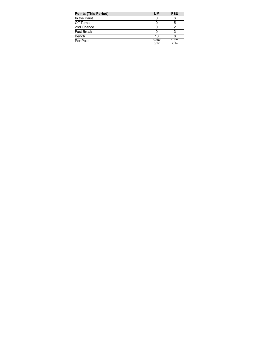| <b>Points (This Period)</b> | <b>UM</b>     | <b>FSU</b>    |
|-----------------------------|---------------|---------------|
| In the Paint                |               | 6             |
| Off Turns                   |               | 5             |
| 2nd Chance                  |               |               |
| <b>Fast Break</b>           |               |               |
| Bench                       | 10            |               |
| Per Poss                    | 0.882<br>6/17 | 1.071<br>7/14 |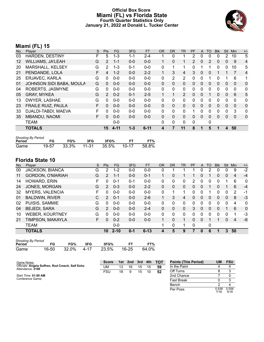#### **Official Box Score Miami (FL) vs Florida State Fourth Quarter Statistics Only January 21, 2022 at Donald L. Tucker Center**



# **Miami (FL) 15**

| No.               | Plaver                    | S  | <b>Pts</b>     | <b>FG</b> | 3FG     | <b>FT</b> | <b>OR</b>    | DR.            | <b>TR</b>      | <b>PF</b>      | $\mathsf{A}$ | TO       | <b>BIK</b> | <b>Stl</b>   | Min          | $+/-$          |
|-------------------|---------------------------|----|----------------|-----------|---------|-----------|--------------|----------------|----------------|----------------|--------------|----------|------------|--------------|--------------|----------------|
| 03                | <b>HARDEN, DESTINY</b>    | F  | 5              | 1-3       | 1-1     | $2 - 4$   |              | 0              |                | 2              | 0            | 0        | 0          | 2            | 10           | 5              |
| $12 \overline{ }$ | WILLIAMS, JA'LEAH         | G  | $\overline{2}$ | $1 - 1$   | $0 - 0$ | $0 - 0$   |              | 0              | 1              | $\overline{2}$ | $\mathbf{0}$ | 2        | 0          | $\mathbf{0}$ | -9           | 4              |
| 20                | MARSHALL, KELSEY          | G  | 2              | $1 - 3$   | $0 - 1$ | $0 - 0$   | 0            |                | 1              | 0              |              |          | $\Omega$   | $\Omega$     | 10           | 5              |
| 21                | PENDANDE, LOLA            | F  | 4              | $1 - 2$   | $0-0$   | $2 - 2$   |              | 3              | 4              | 3              | $\mathbf{0}$ | 0        |            |              | 7            | $\overline{4}$ |
| 25                | ERJAVEC, KARLA            | G  | $\Omega$       | $0 - 0$   | $0 - 0$ | $0 - 0$   | 0            | $\overline{2}$ | 2              | 0              | $\mathbf{0}$ |          | 0          |              | 6            | 1              |
| 01                | JOHNSON SIDI BABA, MOULA  | G  | 0              | $0 - 0$   | $0 - 0$ | $0 - 0$   | $\Omega$     | $\Omega$       | 0              | $\Omega$       | $\Omega$     | $\Omega$ | $\Omega$   | $\Omega$     | $\mathbf{0}$ | $\mathbf{0}$   |
| 04                | ROBERTS, JASMYNE          | G  | 0              | $0 - 0$   | $0 - 0$ | $0 - 0$   | 0            | $\Omega$       | 0              | $\Omega$       | 0            | 0        | 0          | $\Omega$     | $\Omega$     | $\mathbf{0}$   |
| 05                | <b>GRAY, MYKEA</b>        | G  | 2              | $0 - 2$   | $0 - 1$ | $2 - 5$   | $\mathbf{1}$ |                | $\overline{2}$ | 0              | 0            |          | 0          | $\mathbf{0}$ | 6            | 5              |
| 13                | DWYER, LASHAE             | G  | 0              | $0 - 0$   | $0 - 0$ | $0 - 0$   | 0            | $\Omega$       | 0              | 0              | 0            | 0        | 0          | 0            | $\Omega$     | $\mathbf{0}$   |
| 23                | <b>FRAILE RUIZ, PAULA</b> | F  | 0              | $0 - 0$   | $0 - 0$ | $0 - 0$   | $\Omega$     | $\Omega$       | 0              | 0              | $\mathbf{0}$ | 0        | $\Omega$   | $\Omega$     | $\Omega$     | $\mathbf{0}$   |
| 33                | DJALDI-TABDI, MAEVA       | F  | 0              | $0 - 0$   | $0 - 0$ | $0 - 0$   | 0            | 0              | 0              |                | 0            | 0        | 0          | $\mathbf{0}$ | 3            | $\mathbf{0}$   |
| 35                | MBANDU, NAOMI             | F. | 0              | $0 - 0$   | $0 - 0$ | $0 - 0$   | $\Omega$     | $\Omega$       | 0              | 0              | $\Omega$     | 0        | 0          | $\Omega$     | $\Omega$     | $\mathbf 0$    |
|                   | <b>TEAM</b>               |    |                | $0 - 0$   |         |           | 0            | 0              | 0              | $\mathbf{0}$   |              | 0        |            |              |              |                |
|                   | <b>TOTALS</b>             |    | 15             | 4-11      | $1 - 3$ | $6 - 11$  | 4            | 7              | 11             | 8              |              | 5        |            | 4            | 50           |                |

| <b>Shooting By Period</b> |       |       |         |       |       |       |  |  |  |
|---------------------------|-------|-------|---------|-------|-------|-------|--|--|--|
| Period                    | FG.   | FG%   | 3FG     | 3FG%  |       | FT%   |  |  |  |
| Game                      | 19-57 | 33.3% | $11-31$ | 35.5% | 10-17 | 58.8% |  |  |  |

| No. | Player                  | S  | <b>Pts</b>     | <b>FG</b> | 3FG     | <b>FT</b> | 0R       | <b>DR</b> | <b>TR</b>    | <b>PF</b> | A            | TO       | <b>B</b> lk | Stl          | Min            | $+/-$    |
|-----|-------------------------|----|----------------|-----------|---------|-----------|----------|-----------|--------------|-----------|--------------|----------|-------------|--------------|----------------|----------|
| 00  | JACKSON, BIANCA         | G  | 2              | $1-2$     | $0 - 0$ | $0 - 0$   | 0        |           |              |           | 0            |          | 0           | 0            | 9              | $-2$     |
| 11  | <b>GORDON, O'MARIAH</b> | G  | $\overline{2}$ | $1 - 1$   | $0 - 0$ | $0 - 1$   |          | 0         | 1            |           | 0            |          | 0           | $\Omega$     | $\overline{4}$ | $-4$     |
| 14  | HOWARD, ERIN            | F  | 0              | $0 - 1$   | $0 - 1$ | $0 - 0$   | 0        | 0         | 0            | 2         | 0            | 0        | 0           |              | 6              | 0        |
| 24  | JONES, MORGAN           | G  | 2              | $0 - 3$   | $0 - 0$ | $2 - 2$   | $\Omega$ | 0         | 0            | 0         | 0            |          | 0           |              | 6              | $-4$     |
| 32  | <b>MYERS, VALENCIA</b>  | F. | 0              | $0 - 0$   | $0 - 0$ | $0 - 0$   | 0        |           | 1            | 0         | 0            |          | 0           | 0            | 2              | -1       |
| 01  | <b>BALDWIN, RIVER</b>   | С  | 2              | $0 - 1$   | $0 - 0$ | $2-6$     |          | 3         | 4            | 0         | $\mathbf{0}$ | $\Omega$ | 0           | $\mathbf{0}$ | 8              | $-3$     |
| 02  | PUISIS, SAMMIE          | G  | $\Omega$       | $0 - 0$   | $0 - 0$ | $0 - 0$   | 0        | 0         | $\mathbf{0}$ | 0         | 0            | 0        | 0           | 0            | 4              | 0        |
| 04  | <b>BEJEDI, SARA</b>     | G  | 2              | $0 - 0$   | $0 - 0$ | $2 - 4$   | $\Omega$ | 0         | $\Omega$     | 3         | $\Omega$     | $\Omega$ | 0           |              | 6              | $\Omega$ |
| 10  | <b>WEBER, KOURTNEY</b>  | G  | $\Omega$       | $0 - 0$   | $0 - 0$ | $0 - 0$   | 0        | 0         | $\mathbf{0}$ | 0         | 0            | 0        | 0           | $\Omega$     |                | -3       |
| 21  | TIMPSON, MAKAYLA        | F. | 0              | $0 - 2$   | $0 - 0$ | $0 - 0$   |          | 0         | 1            | 0         | $\Omega$     |          |             | 0            | 4              | -6       |
|     | TEAM                    |    |                | $0 - 0$   |         |           | 1        | 0         | 1            | 0         |              | 0        |             |              |                |          |
|     | <b>TOTALS</b>           |    | 10             | $2 - 10$  | $0 - 1$ | $6 - 13$  | 4        | 5         | 9            |           | 0            | 6        | 1           | 3            | 50             |          |

| <b>Shooting By Period</b> |       |       |              |       |       |       |
|---------------------------|-------|-------|--------------|-------|-------|-------|
| Period                    | FG.   | FG%   | 3FG          | 3FG%  |       | FT%   |
| Game                      | 16-50 | 32.0% | $\cdot$ 4-17 | 23.5% | 16-25 | 64.0% |

| Game Notes:                                                          | <b>Score</b> |    | 1st 2nd 3rd |    | 4th | тот | <b>Points (This Period)</b> | UM            | <b>FSU</b>    |
|----------------------------------------------------------------------|--------------|----|-------------|----|-----|-----|-----------------------------|---------------|---------------|
| Officials: Angela Suffren, Rod Creech, Saif Esho<br>Attendance: 2190 | UM           | 13 | 16          | 15 | 15  | 59  | In the Paint                |               |               |
|                                                                      | <b>FSU</b>   | 18 |             | 15 | 10  | 52  | Off Turns                   |               |               |
| Start Time: 01:00 AM                                                 |              |    |             |    |     |     | 2nd Chance                  |               |               |
| Conference Game:                                                     |              |    |             |    |     |     | <b>Fast Break</b>           |               |               |
|                                                                      |              |    |             |    |     |     | Bench                       |               |               |
|                                                                      |              |    |             |    |     |     | Per Poss                    | 0.938<br>7/16 | 0.556<br>5/18 |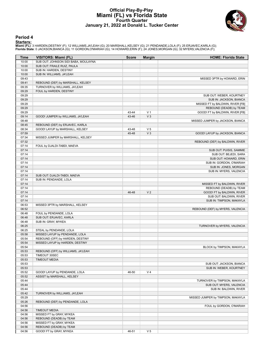### **Official Play-By-Play Miami (FL) vs Florida State Fourth Quarter January 21, 2022 at Donald L. Tucker Center**



#### **Period 4**

<mark>Starters:</mark><br>Miami (FL): 3 HARDEN,DESTINY (F); 12 WILLIAMS,JA'LEAH (G); 20 MARSHALL,KELSEY (G); 21 PENDANDE,LOLA (F); 25 ERJAVEC,KARLA (G);<br>Florida State: 0 JACKSON,BIANCA (G); 11 GORDON,O'MARIAH (G); 14 HOWARD,ERIN (F); 2

| Time  | <b>VISITORS: Miami (FL)</b>          | <b>Score</b> | <b>Margin</b>  | <b>HOME: Florida State</b>        |
|-------|--------------------------------------|--------------|----------------|-----------------------------------|
| 10:00 | SUB OUT: JOHNSON SIDI BABA, MOULAYNA |              |                |                                   |
| 10:00 | SUB OUT: FRAILE RUIZ, PAULA          |              |                |                                   |
| 10:00 | SUB IN: HARDEN, DESTINY              |              |                |                                   |
| 10:00 | SUB IN: WILLIAMS, JA'LEAH            |              |                |                                   |
| 09:43 |                                      |              |                | MISSED 3PTR by HOWARD, ERIN       |
| 09:41 | REBOUND (DEF) by MARSHALL, KELSEY    |              |                |                                   |
| 09:35 | TURNOVER by WILLIAMS, JA'LEAH        |              |                |                                   |
| 09:29 | FOUL by HARDEN, DESTINY              |              |                |                                   |
| 09:29 |                                      |              |                | SUB OUT: WEBER, KOURTNEY          |
| 09:29 |                                      |              |                | SUB IN: JACKSON, BIANCA           |
| 09:29 |                                      |              |                | MISSED FT by BALDWIN, RIVER [FB]  |
| 09:29 |                                      |              |                | REBOUND (DEADB) by TEAM           |
| 09:29 |                                      | 43-44        | V <sub>1</sub> | GOOD! FT by BALDWIN, RIVER [FB]   |
| 09:14 | GOOD! JUMPER by WILLIAMS, JA'LEAH    | 43-46        | V <sub>3</sub> |                                   |
| 08:48 |                                      |              |                | MISSED JUMPER by JACKSON, BIANCA  |
| 08:45 | REBOUND (DEF) by ERJAVEC, KARLA      |              |                |                                   |
| 08:34 | GOOD! LAYUP by MARSHALL, KELSEY      | 43-48        | V <sub>5</sub> |                                   |
| 07:59 |                                      | 45-48        | V <sub>3</sub> | GOOD! LAYUP by JACKSON, BIANCA    |
| 07:34 | MISSED JUMPER by MARSHALL, KELSEY    |              |                |                                   |
| 07:32 |                                      |              |                | REBOUND (DEF) by BALDWIN, RIVER   |
| 07:14 | FOUL by DJALDI-TABDI, MAEVA          |              |                |                                   |
| 07:14 |                                      |              |                | SUB OUT: PUISIS, SAMMIE           |
| 07:14 |                                      |              |                | SUB OUT: BEJEDI, SARA             |
| 07:14 |                                      |              |                | SUB OUT: HOWARD, ERIN             |
| 07:14 |                                      |              |                | SUB IN: GORDON, O'MARIAH          |
| 07:14 |                                      |              |                | SUB IN: JONES, MORGAN             |
| 07:14 |                                      |              |                | SUB IN: MYERS, VALENCIA           |
| 07:14 | SUB OUT: DJALDI-TABDI, MAEVA         |              |                |                                   |
| 07:14 | SUB IN: PENDANDE, LOLA               |              |                |                                   |
| 07:14 |                                      |              |                | MISSED FT by BALDWIN, RIVER       |
| 07:14 |                                      |              |                | REBOUND (DEADB) by TEAM           |
| 07:14 |                                      | 46-48        | V <sub>2</sub> | GOOD! FT by BALDWIN, RIVER        |
| 07:14 |                                      |              |                | SUB OUT: BALDWIN, RIVER           |
| 07:14 |                                      |              |                | SUB IN: TIMPSON, MAKAYLA          |
| 06:53 | MISSED 3PTR by MARSHALL, KELSEY      |              |                |                                   |
| 06:52 |                                      |              |                | REBOUND (DEF) by MYERS, VALENCIA  |
| 06:48 | FOUL by PENDANDE, LOLA               |              |                |                                   |
| 06:48 | SUB OUT: ERJAVEC, KARLA              |              |                |                                   |
| 06:48 | SUB IN: GRAY, MYKEA                  |              |                |                                   |
| 06:25 |                                      |              |                | TURNOVER by MYERS, VALENCIA       |
| 06:25 | STEAL by PENDANDE, LOLA              |              |                |                                   |
| 05:58 | MISSED LAYUP by PENDANDE, LOLA       |              |                |                                   |
| 05:54 | REBOUND (OFF) by HARDEN, DESTINY     |              |                |                                   |
| 05:54 | MISSED LAYUP by HARDEN, DESTINY      |              |                |                                   |
| 05:54 |                                      |              |                | BLOCK by TIMPSON, MAKAYLA         |
| 05:53 | REBOUND (OFF) by WILLIAMS, JA'LEAH   |              |                |                                   |
| 05:53 | TIMEOUT 30SEC                        |              |                |                                   |
| 05:53 | <b>TIMEOUT MEDIA</b>                 |              |                |                                   |
| 05:53 |                                      |              |                | SUB OUT: JACKSON, BIANCA          |
| 05:53 |                                      |              |                | SUB IN: WEBER, KOURTNEY           |
| 05:52 | GOOD! LAYUP by PENDANDE, LOLA        | 46-50        | V <sub>4</sub> |                                   |
| 05:52 | ASSIST by MARSHALL, KELSEY           |              |                |                                   |
| 05:44 |                                      |              |                | TURNOVER by TIMPSON, MAKAYLA      |
| 05:44 |                                      |              |                | SUB OUT: MYERS, VALENCIA          |
| 05:44 |                                      |              |                | SUB IN: BALDWIN, RIVER            |
| 05:42 | TURNOVER by WILLIAMS, JA'LEAH        |              |                |                                   |
| 05:29 |                                      |              |                | MISSED JUMPER by TIMPSON, MAKAYLA |
| 05:26 | REBOUND (DEF) by PENDANDE, LOLA      |              |                |                                   |
| 04:56 |                                      |              |                | FOUL by GORDON, O'MARIAH          |
| 04:56 | <b>TIMEOUT MEDIA</b>                 |              |                |                                   |
| 04:56 | MISSED FT by GRAY, MYKEA             |              |                |                                   |
| 04:56 | REBOUND (DEADB) by TEAM              |              |                |                                   |
| 04:56 | MISSED FT by GRAY, MYKEA             |              |                |                                   |
| 04:56 | REBOUND (DEADB) by TEAM              |              |                |                                   |
| 04:56 | GOOD! FT by GRAY, MYKEA              | 46-51        | V <sub>5</sub> |                                   |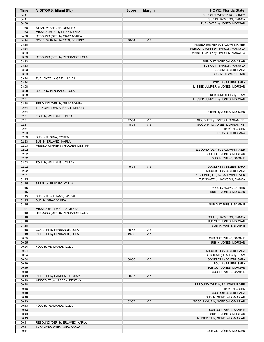| Time           | <b>VISITORS: Miami (FL)</b>                                 | <b>Score</b> | <b>Margin</b>  | <b>HOME: Florida State</b>                                            |
|----------------|-------------------------------------------------------------|--------------|----------------|-----------------------------------------------------------------------|
| 04:41          |                                                             |              |                | SUB OUT: WEBER, KOURTNEY                                              |
| 04:41          |                                                             |              |                | SUB IN: JACKSON, BIANCA                                               |
| 04:38          |                                                             |              |                | TURNOVER by JONES, MORGAN                                             |
| 04:38          | STEAL by HARDEN, DESTINY                                    |              |                |                                                                       |
| 04:33          | MISSED LAYUP by GRAY, MYKEA                                 |              |                |                                                                       |
| 04:30          | REBOUND (OFF) by GRAY, MYKEA                                |              |                |                                                                       |
| 04:14          | GOOD! 3PTR by HARDEN, DESTINY                               | 46-54        | V8             |                                                                       |
| 03:38<br>03:34 |                                                             |              |                | MISSED JUMPER by BALDWIN, RIVER                                       |
| 03:33          |                                                             |              |                | REBOUND (OFF) by TIMPSON, MAKAYLA<br>MISSED LAYUP by TIMPSON, MAKAYLA |
| 03:33          | REBOUND (DEF) by PENDANDE, LOLA                             |              |                |                                                                       |
| 03:33          |                                                             |              |                | SUB OUT: GORDON, O'MARIAH                                             |
| 03:33          |                                                             |              |                | SUB OUT: TIMPSON, MAKAYLA                                             |
| 03:33          |                                                             |              |                | SUB IN: BEJEDI, SARA                                                  |
| 03:33          |                                                             |              |                | SUB IN: HOWARD, ERIN                                                  |
| 03:24          | TURNOVER by GRAY, MYKEA                                     |              |                |                                                                       |
| 03:24          |                                                             |              |                | STEAL by BEJEDI, SARA                                                 |
| 03:08          |                                                             |              |                | MISSED JUMPER by JONES, MORGAN                                        |
| 03:08          | BLOCK by PENDANDE, LOLA                                     |              |                |                                                                       |
| 03:08          |                                                             |              |                | REBOUND (OFF) by TEAM                                                 |
| 02:51          |                                                             |              |                | MISSED JUMPER by JONES, MORGAN                                        |
| 02:48          | REBOUND (DEF) by GRAY, MYKEA                                |              |                |                                                                       |
| 02:34          | TURNOVER by MARSHALL, KELSEY                                |              |                |                                                                       |
| 02:34          |                                                             |              |                | STEAL by JONES, MORGAN                                                |
| 02:31<br>02:31 | FOUL by WILLIAMS, JA'LEAH                                   | 47-54        | V <sub>7</sub> | GOOD! FT by JONES, MORGAN [FB]                                        |
| 02:31          |                                                             | 48-54        | V <sub>6</sub> | GOOD! FT by JONES, MORGAN [FB]                                        |
| 02:31          |                                                             |              |                | TIMEOUT 30SEC                                                         |
| 02:23          |                                                             |              |                | FOUL by BEJEDI, SARA                                                  |
| 02:23          | SUB OUT: GRAY, MYKEA                                        |              |                |                                                                       |
| 02:23          | SUB IN: ERJAVEC, KARLA                                      |              |                |                                                                       |
| 02:03          | MISSED JUMPER by HARDEN, DESTINY                            |              |                |                                                                       |
| 02:02          |                                                             |              |                | REBOUND (DEF) by BALDWIN, RIVER                                       |
| 02:02          |                                                             |              |                | SUB OUT: JONES, MORGAN                                                |
| 02:02          |                                                             |              |                | SUB IN: PUISIS, SAMMIE                                                |
| 02:02          | FOUL by WILLIAMS, JA'LEAH                                   |              |                |                                                                       |
| 02:02          |                                                             | 49-54        | V <sub>5</sub> | GOOD! FT by BEJEDI, SARA                                              |
| 02:02          |                                                             |              |                | MISSED FT by BEJEDI, SARA                                             |
| 02:01          |                                                             |              |                | REBOUND (OFF) by BALDWIN, RIVER                                       |
| 01:45          |                                                             |              |                | TURNOVER by JACKSON, BIANCA                                           |
| 01:45          | STEAL by ERJAVEC, KARLA                                     |              |                |                                                                       |
| 01:45          |                                                             |              |                | FOUL by HOWARD, ERIN                                                  |
| 01:45<br>01:45 | SUB OUT: WILLIAMS, JA'LEAH                                  |              |                | SUB IN: JONES, MORGAN                                                 |
| 01:45          | SUB IN: GRAY, MYKEA                                         |              |                |                                                                       |
| 01:45          |                                                             |              |                | SUB OUT: PUISIS, SAMMIE                                               |
| 01:21          | MISSED 3PTR by GRAY, MYKEA                                  |              |                |                                                                       |
| 01:19          | REBOUND (OFF) by PENDANDE, LOLA                             |              |                |                                                                       |
| 01:18          |                                                             |              |                | FOUL by JACKSON, BIANCA                                               |
| 01:18          |                                                             |              |                | SUB OUT: JONES, MORGAN                                                |
| 01:18          |                                                             |              |                | SUB IN: PUISIS, SAMMIE                                                |
| 01:18          | GOOD! FT by PENDANDE, LOLA                                  | 49-55        | $V_6$          |                                                                       |
| 01:18          | GOOD! FT by PENDANDE, LOLA                                  | 49-56        | V <sub>7</sub> |                                                                       |
| 00:55          |                                                             |              |                | SUB OUT: PUISIS, SAMMIE                                               |
| 00:55          |                                                             |              |                | SUB IN: JONES, MORGAN                                                 |
| 00:54          | FOUL by PENDANDE, LOLA                                      |              |                |                                                                       |
| 00:54          |                                                             |              |                | MISSED FT by BEJEDI, SARA                                             |
| 00:54          |                                                             |              |                | REBOUND (DEADB) by TEAM                                               |
| 00:54          |                                                             | 50-56        | $V_6$          | GOOD! FT by BEJEDI, SARA                                              |
| 00:49          |                                                             |              |                | FOUL by BEJEDI, SARA                                                  |
| 00:49          |                                                             |              |                | SUB OUT: JONES, MORGAN                                                |
| 00:49          |                                                             |              | V <sub>7</sub> | SUB IN: PUISIS, SAMMIE                                                |
| 00:49<br>00:49 | GOOD! FT by HARDEN, DESTINY<br>MISSED FT by HARDEN, DESTINY | 50-57        |                |                                                                       |
| 00:48          |                                                             |              |                | REBOUND (DEF) by BALDWIN, RIVER                                       |
| 00:48          |                                                             |              |                | TIMEOUT 30SEC                                                         |
| 00:48          |                                                             |              |                | SUB OUT: BEJEDI, SARA                                                 |
| 00:48          |                                                             |              |                | SUB IN: GORDON, O'MARIAH                                              |
| 00:43          |                                                             | 52-57        | V <sub>5</sub> | GOOD! LAYUP by GORDON, O'MARIAH                                       |
| 00:43          | FOUL by PENDANDE, LOLA                                      |              |                |                                                                       |
| 00:43          |                                                             |              |                | SUB OUT: PUISIS, SAMMIE                                               |
| 00:43          |                                                             |              |                | SUB IN: JONES, MORGAN                                                 |
| 00:43          |                                                             |              |                | MISSED FT by GORDON, O'MARIAH                                         |
| 00:41          | REBOUND (DEF) by ERJAVEC, KARLA                             |              |                |                                                                       |
| 00:41          | TURNOVER by ERJAVEC, KARLA                                  |              |                |                                                                       |
| 00:41          |                                                             |              |                | SUB OUT: JONES, MORGAN                                                |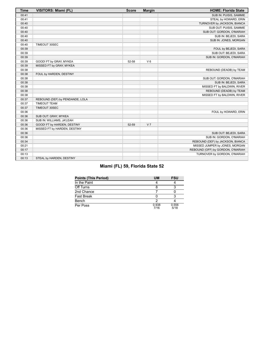| <b>Time</b> | VISITORS: Miami (FL)            | <b>Score</b> | <b>Margin</b>  | <b>HOME: Florida State</b>        |
|-------------|---------------------------------|--------------|----------------|-----------------------------------|
| 00:41       |                                 |              |                | SUB IN: PUISIS, SAMMIE            |
| 00:41       |                                 |              |                | STEAL by HOWARD, ERIN             |
| 00:40       |                                 |              |                | TURNOVER by JACKSON, BIANCA       |
| 00:40       |                                 |              |                | SUB OUT: PUISIS, SAMMIE           |
| 00:40       |                                 |              |                | SUB OUT: GORDON, O'MARIAH         |
| 00:40       |                                 |              |                | SUB IN: BEJEDI, SARA              |
| 00:40       |                                 |              |                | SUB IN: JONES, MORGAN             |
| 00:40       | TIMEOUT 30SEC                   |              |                |                                   |
| 00:39       |                                 |              |                | FOUL by BEJEDI, SARA              |
| 00:39       |                                 |              |                | SUB OUT: BEJEDI, SARA             |
| 00:39       |                                 |              |                | SUB IN: GORDON, O'MARIAH          |
| 00:39       | GOOD! FT by GRAY, MYKEA         | 52-58        | $V_6$          |                                   |
| 00:39       | MISSED FT by GRAY, MYKEA        |              |                |                                   |
| 00:38       |                                 |              |                | REBOUND (DEADB) by TEAM           |
| 00:38       | FOUL by HARDEN, DESTINY         |              |                |                                   |
| 00:38       |                                 |              |                | SUB OUT: GORDON, O'MARIAH         |
| 00:38       |                                 |              |                | SUB IN: BEJEDI, SARA              |
| 00:38       |                                 |              |                | MISSED FT by BALDWIN, RIVER       |
| 00:38       |                                 |              |                | REBOUND (DEADB) by TEAM           |
| 00:38       |                                 |              |                | MISSED FT by BALDWIN, RIVER       |
| 00:37       | REBOUND (DEF) by PENDANDE, LOLA |              |                |                                   |
| 00:37       | <b>TIMEOUT TEAM</b>             |              |                |                                   |
| 00:37       | TIMEOUT 30SEC                   |              |                |                                   |
| 00:36       |                                 |              |                | FOUL by HOWARD, ERIN              |
| 00:36       | SUB OUT: GRAY, MYKEA            |              |                |                                   |
| 00:36       | SUB IN: WILLIAMS, JA'LEAH       |              |                |                                   |
| 00:36       | GOOD! FT by HARDEN, DESTINY     | 52-59        | V <sub>7</sub> |                                   |
| 00:36       | MISSED FT by HARDEN, DESTINY    |              |                |                                   |
| 00:36       |                                 |              |                | SUB OUT: BEJEDI, SARA             |
| 00:36       |                                 |              |                | SUB IN: GORDON, O'MARIAH          |
| 00:34       |                                 |              |                | REBOUND (DEF) by JACKSON, BIANCA  |
| 00:21       |                                 |              |                | MISSED JUMPER by JONES, MORGAN    |
| 00:17       |                                 |              |                | REBOUND (OFF) by GORDON, O'MARIAH |
| 00:13       |                                 |              |                | TURNOVER by GORDON, O'MARIAH      |
| 00:13       | STEAL by HARDEN, DESTINY        |              |                |                                   |

# **Miami (FL) 59, Florida State 52**

| <b>Points (This Period)</b> | UM            | <b>FSU</b>    |
|-----------------------------|---------------|---------------|
| In the Paint                |               |               |
| Off Turns                   |               |               |
| 2nd Chance                  |               |               |
| <b>Fast Break</b>           |               |               |
| Bench                       |               |               |
| Per Poss                    | 0.938<br>7/16 | 0.556<br>5/18 |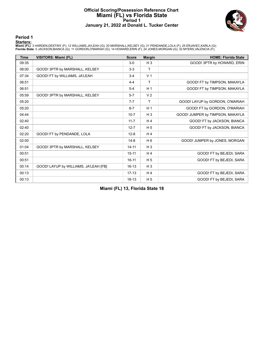### **Official Scoring/Possession Reference Chart Miami (FL) vs Florida State Period 1 January 21, 2022 at Donald L. Tucker Center**



**Period 1**

<mark>Starters:</mark><br>Miami (FL): 3 HARDEN,DESTINY (F); 12 WILLIAMS,JA'LEAH (G); 20 MARSHALL,KELSEY (G); 21 PENDANDE,LOLA (F); 25 ERJAVEC,KARLA (G);<br>Florida State: 0 JACKSON,BIANCA (G); 11 GORDON,O'MARIAH (G); 14 HOWARD,ERIN (F); 2

| <b>Time</b> | <b>VISITORS: Miami (FL)</b>           | <b>Score</b> | <b>Margin</b>  | <b>HOME: Florida State</b>       |
|-------------|---------------------------------------|--------------|----------------|----------------------------------|
| 09:35       |                                       | $3-0$        | $H_3$          | GOOD! 3PTR by HOWARD, ERIN       |
| 08:00       | GOOD! 3PTR by MARSHALL, KELSEY        | $3-3$        | T.             |                                  |
| 07:34       | GOOD! FT by WILLIAMS, JA'LEAH         | $3 - 4$      | V <sub>1</sub> |                                  |
| 06:51       |                                       | $4 - 4$      | T              | GOOD! FT by TIMPSON, MAKAYLA     |
| 06:51       |                                       | $5-4$        | H <sub>1</sub> | GOOD! FT by TIMPSON, MAKAYLA     |
| 05:59       | GOOD! 3PTR by MARSHALL, KELSEY        | $5 - 7$      | V <sub>2</sub> |                                  |
| 05:20       |                                       | $7 - 7$      | T.             | GOOD! LAYUP by GORDON, O'MARIAH  |
| 05:20       |                                       | $8 - 7$      | H <sub>1</sub> | GOOD! FT by GORDON, O'MARIAH     |
| 04:44       |                                       | $10 - 7$     | $H_3$          | GOOD! JUMPER by TIMPSON, MAKAYLA |
| 02:40       |                                       | $11 - 7$     | H <sub>4</sub> | GOOD! FT by JACKSON, BIANCA      |
| 02:40       |                                       | $12 - 7$     | H <sub>5</sub> | GOOD! FT by JACKSON, BIANCA      |
| 02:20       | GOOD! FT by PENDANDE, LOLA            | $12 - 8$     | H <sub>4</sub> |                                  |
| 02:00       |                                       | $14 - 8$     | H <sub>6</sub> | GOOD! JUMPER by JONES, MORGAN    |
| 01:04       | GOOD! 3PTR by MARSHALL, KELSEY        | $14 - 11$    | $H_3$          |                                  |
| 00:51       |                                       | $15 - 11$    | H <sub>4</sub> | GOOD! FT by BEJEDI, SARA         |
| 00:51       |                                       | $16 - 11$    | H <sub>5</sub> | GOOD! FT by BEJEDI, SARA         |
| 00:14       | GOOD! LAYUP by WILLIAMS, JA'LEAH [FB] | $16 - 13$    | $H_3$          |                                  |
| 00:13       |                                       | $17 - 13$    | H <sub>4</sub> | GOOD! FT by BEJEDI, SARA         |
| 00:13       |                                       | $18 - 13$    | H <sub>5</sub> | GOOD! FT by BEJEDI, SARA         |

**Miami (FL) 13, Florida State 18**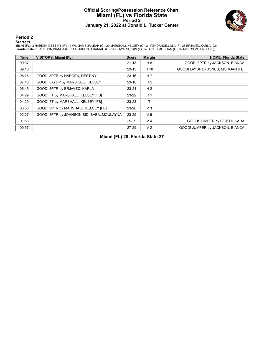### **Official Scoring/Possession Reference Chart Miami (FL) vs Florida State Period 2 January 21, 2022 at Donald L. Tucker Center**



**Period 2**

<mark>Starters:</mark><br>Miami (FL): 3 HARDEN,DESTINY (F); 12 WILLIAMS,JA'LEAH (G); 20 MARSHALL,KELSEY (G); 21 PENDANDE,LOLA (F); 25 ERJAVEC,KARLA (G);<br>Florida State: 0 JACKSON,BIANCA (G); 11 GORDON,O'MARIAH (G); 14 HOWARD,ERIN (F); 2

| <b>Time</b> | <b>VISITORS: Miami (FL)</b>               | <b>Score</b> | <b>Margin</b>  | <b>HOME: Florida State</b>        |
|-------------|-------------------------------------------|--------------|----------------|-----------------------------------|
| 09:37       |                                           | $21 - 13$    | H 8            | GOOD! 3PTR by JACKSON, BIANCA     |
| 09:13       |                                           | $23 - 13$    | H 10           | GOOD! LAYUP by JONES, MORGAN [FB] |
| 08:26       | GOOD! 3PTR by HARDEN, DESTINY             | $23 - 16$    | H <sub>7</sub> |                                   |
| 07:46       | GOOD! LAYUP by MARSHALL, KELSEY           | $23 - 18$    | H <sub>5</sub> |                                   |
| 06:45       | GOOD! 3PTR by ERJAVEC, KARLA              | $23 - 21$    | H <sub>2</sub> |                                   |
| 04:29       | GOOD! FT by MARSHALL, KELSEY [FB]         | $23 - 22$    | H <sub>1</sub> |                                   |
| 04:29       | GOOD! FT by MARSHALL, KELSEY [FB]         | 23-23        | т              |                                   |
| 03:58       | GOOD! 3PTR by MARSHALL, KELSEY [FB]       | 23-26        | $V_3$          |                                   |
| 02:27       | GOOD! 3PTR by JOHNSON SIDI BABA, MOULAYNA | 23-29        | $V_6$          |                                   |
| 01:55       |                                           | 25-29        | V <sub>4</sub> | GOOD! JUMPER by BEJEDI, SARA      |
| 00:57       |                                           | 27-29        | V <sub>2</sub> | GOOD! JUMPER by JACKSON, BIANCA   |

**Miami (FL) 29, Florida State 27**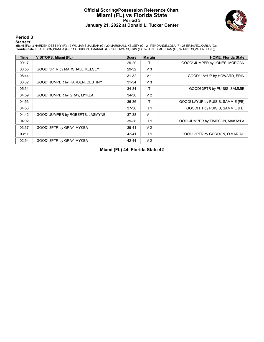### **Official Scoring/Possession Reference Chart Miami (FL) vs Florida State Period 3 January 21, 2022 at Donald L. Tucker Center**



**Period 3**

<mark>Starters:</mark><br>Miami (FL): 3 HARDEN,DESTINY (F); 12 WILLIAMS,JA'LEAH (G); 20 MARSHALL,KELSEY (G); 21 PENDANDE,LOLA (F); 25 ERJAVEC,KARLA (G);<br>Florida State: 0 JACKSON,BIANCA (G); 11 GORDON,O'MARIAH (G); 14 HOWARD,ERIN (F); 2

| <b>Time</b> | VISITORS: Miami (FL)             | <b>Score</b> | <b>Margin</b>  | <b>HOME: Florida State</b>         |
|-------------|----------------------------------|--------------|----------------|------------------------------------|
| 09:17       |                                  | 29-29        |                | GOOD! JUMPER by JONES, MORGAN      |
| 08:55       | GOOD! 3PTR by MARSHALL, KELSEY   | 29-32        | V <sub>3</sub> |                                    |
| 08:44       |                                  | $31 - 32$    | V <sub>1</sub> | GOOD! LAYUP by HOWARD, ERIN        |
| 06:32       | GOOD! JUMPER by HARDEN, DESTINY  | 31-34        | $V_3$          |                                    |
| 05:31       |                                  | 34-34        | т              | GOOD! 3PTR by PUISIS, SAMMIE       |
| 04:59       | GOOD! JUMPER by GRAY, MYKEA      | 34-36        | V <sub>2</sub> |                                    |
| 04:53       |                                  | 36-36        | т              | GOOD! LAYUP by PUISIS, SAMMIE [FB] |
| 04:53       |                                  | 37-36        | H <sub>1</sub> | GOOD! FT by PUISIS, SAMMIE [FB]    |
| 04:42       | GOOD! JUMPER by ROBERTS, JASMYNE | 37-38        | V <sub>1</sub> |                                    |
| 04:02       |                                  | 39-38        | H <sub>1</sub> | GOOD! JUMPER by TIMPSON, MAKAYLA   |
| 03:37       | GOOD! 3PTR by GRAY, MYKEA        | 39-41        | V <sub>2</sub> |                                    |
| 03:11       |                                  | $42 - 41$    | H <sub>1</sub> | GOOD! 3PTR by GORDON, O'MARIAH     |
| 02:54       | GOOD! 3PTR by GRAY, MYKEA        | 42-44        | V <sub>2</sub> |                                    |

**Miami (FL) 44, Florida State 42**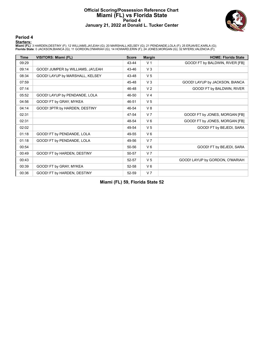#### **Official Scoring/Possession Reference Chart Miami (FL) vs Florida State Period 4 January 21, 2022 at Donald L. Tucker Center**



#### **Period 4**

<mark>Starters:</mark><br>Miami (FL): 3 HARDEN,DESTINY (F); 12 WILLIAMS,JA'LEAH (G); 20 MARSHALL,KELSEY (G); 21 PENDANDE,LOLA (F); 25 ERJAVEC,KARLA (G);<br>Florida State: 0 JACKSON,BIANCA (G); 11 GORDON,O'MARIAH (G); 14 HOWARD,ERIN (F); 2

| <b>Time</b> | <b>VISITORS: Miami (FL)</b>       | <b>Score</b> | <b>Margin</b>  | <b>HOME: Florida State</b>      |
|-------------|-----------------------------------|--------------|----------------|---------------------------------|
| 09:29       |                                   | 43-44        | V <sub>1</sub> | GOOD! FT by BALDWIN, RIVER [FB] |
| 09:14       | GOOD! JUMPER by WILLIAMS, JA'LEAH | 43-46        | $V_3$          |                                 |
| 08:34       | GOOD! LAYUP by MARSHALL, KELSEY   | 43-48        | V <sub>5</sub> |                                 |
| 07:59       |                                   | 45-48        | $V_3$          | GOOD! LAYUP by JACKSON, BIANCA  |
| 07:14       |                                   | 46-48        | V <sub>2</sub> | GOOD! FT by BALDWIN, RIVER      |
| 05:52       | GOOD! LAYUP by PENDANDE, LOLA     | 46-50        | V <sub>4</sub> |                                 |
| 04:56       | GOOD! FT by GRAY, MYKEA           | 46-51        | V <sub>5</sub> |                                 |
| 04:14       | GOOD! 3PTR by HARDEN, DESTINY     | 46-54        | V8             |                                 |
| 02:31       |                                   | 47-54        | V <sub>7</sub> | GOOD! FT by JONES, MORGAN [FB]  |
| 02:31       |                                   | 48-54        | $V_6$          | GOOD! FT by JONES, MORGAN [FB]  |
| 02:02       |                                   | 49-54        | V <sub>5</sub> | GOOD! FT by BEJEDI, SARA        |
| 01:18       | GOOD! FT by PENDANDE, LOLA        | 49-55        | $V_6$          |                                 |
| 01:18       | GOOD! FT by PENDANDE, LOLA        | 49-56        | V <sub>7</sub> |                                 |
| 00:54       |                                   | 50-56        | $V_6$          | GOOD! FT by BEJEDI, SARA        |
| 00:49       | GOOD! FT by HARDEN, DESTINY       | 50-57        | V <sub>7</sub> |                                 |
| 00:43       |                                   | 52-57        | V <sub>5</sub> | GOOD! LAYUP by GORDON, O'MARIAH |
| 00:39       | GOOD! FT by GRAY, MYKEA           | 52-58        | $V_6$          |                                 |
| 00:36       | GOOD! FT by HARDEN, DESTINY       | 52-59        | V <sub>7</sub> |                                 |

**Miami (FL) 59, Florida State 52**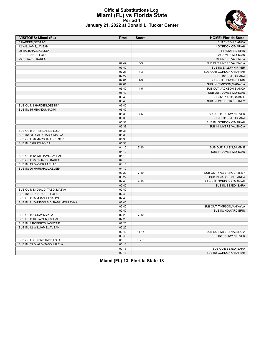### **Official Substitutions Log Miami (FL) vs Florida State Period 1 January 21, 2022 at Donald L. Tucker Center**



| <b>VISITORS: Miami (FL)</b>           | <b>Time</b> | <b>Score</b> | <b>HOME: Florida State</b> |
|---------------------------------------|-------------|--------------|----------------------------|
| 3 HARDEN.DESTINY                      |             |              | 0 JACKSON.BIANCA           |
| 12 WILLIAMS, JA'LEAH                  |             |              | 11 GORDON, O'MARIAH        |
| 20 MARSHALL, KELSEY                   |             |              | 14 HOWARD, ERIN            |
| 21 PENDANDE, LOLA                     |             |              | 24 JONES, MORGAN           |
| 25 ERJAVEC, KARLA                     |             |              | 32 MYERS, VALENCIA         |
|                                       | 07:49       | $3 - 3$      | SUB OUT: MYERS, VALENCIA   |
|                                       | 07:49       |              | SUB IN: BALDWIN, RIVER     |
|                                       | 07:27       | $4 - 3$      | SUB OUT: GORDON, O'MARIAH  |
|                                       | 07:27       |              | SUB IN: BEJEDI, SARA       |
|                                       | 07:01       | $4 - 3$      | SUB OUT: HOWARD, ERIN      |
|                                       | 07:01       |              | SUB IN: TIMPSON, MAKAYLA   |
|                                       | 06:40       | $4 - 5$      | SUB OUT: JACKSON, BIANCA   |
|                                       | 06:40       |              | SUB OUT: JONES, MORGAN     |
|                                       | 06:40       |              | SUB IN: PUISIS, SAMMIE     |
|                                       | 06:40       |              | SUB IN: WEBER, KOURTNEY    |
| SUB OUT: 3 HARDEN, DESTINY            | 06:40       |              |                            |
| SUB IN: 35 MBANDU.NAOMI               | 06:40       |              |                            |
|                                       | 05:33       | $7 - 5$      | SUB OUT: BALDWIN, RIVER    |
|                                       | 05:33       |              | SUB OUT: BEJEDI, SARA      |
|                                       | 05:33       |              | SUB IN: GORDON, O'MARIAH   |
|                                       | 05:33       |              | SUB IN: MYERS, VALENCIA    |
| SUB OUT: 21 PENDANDE, LOLA            | 05:33       |              |                            |
| SUB IN: 33 DJALDI-TABDI, MAEVA        | 05:33       |              |                            |
| SUB OUT: 20 MARSHALL, KELSEY          | 05:33       |              |                            |
| SUB IN: 5 GRAY, MYKEA                 | 05:33       |              |                            |
|                                       | 04:10       | $7 - 10$     | SUB OUT: PUISIS, SAMMIE    |
|                                       | 04:10       |              | SUB IN: JONES, MORGAN      |
| SUB OUT: 12 WILLIAMS, JA'LEAH         | 04:10       |              |                            |
| SUB OUT: 25 ERJAVEC, KARLA            | 04:10       |              |                            |
| SUB IN: 13 DWYER, LASHAE              | 04:10       |              |                            |
| SUB IN: 20 MARSHALL, KELSEY           | 04:10       |              |                            |
|                                       | 03:22       | $7 - 10$     | SUB OUT: WEBER, KOURTNEY   |
|                                       | 03:22       |              | SUB IN: JACKSON, BIANCA    |
|                                       | 02:40       | $7 - 10$     | SUB OUT: GORDON, O'MARIAH  |
|                                       | 02:40       |              | SUB IN: BEJEDI, SARA       |
| SUB OUT: 33 DJALDI-TABDI, MAEVA       | 02:40       |              |                            |
| SUB IN: 21 PENDANDE, LOLA             | 02:40       |              |                            |
| SUB OUT: 35 MBANDU, NAOMI             | 02:40       |              |                            |
| SUB IN: 1 JOHNSON SIDI BABA, MOULAYNA | 02:40       |              |                            |
|                                       | 02:40       |              | SUB OUT: TIMPSON, MAKAYLA  |
|                                       | 02:40       |              | SUB IN: HOWARD, ERIN       |
| SUB OUT: 5 GRAY, MYKEA                | 02:20       | $7 - 12$     |                            |
| SUB OUT: 13 DWYER, LASHAE             | 02:20       |              |                            |
| SUB IN: 4 ROBERTS, JASMYNE            | 02:20       |              |                            |
| SUB IN: 12 WILLIAMS, JA'LEAH          | 02:20       |              |                            |
|                                       | 00:49       | $11 - 16$    | SUB OUT: MYERS, VALENCIA   |
|                                       | 00:49       |              | SUB IN: BALDWIN, RIVER     |
| SUB OUT: 21 PENDANDE, LOLA            | 00:13       | $13 - 18$    |                            |
| SUB IN: 33 DJALDI-TABDI.MAEVA         | 00:13       |              |                            |
|                                       | 00:13       |              | SUB OUT: BEJEDI, SARA      |
|                                       | 00:13       |              | SUB IN: GORDON, O'MARIAH   |

**Miami (FL) 13, Florida State 18**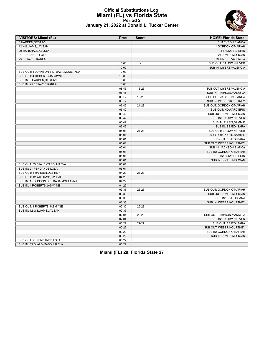#### **Official Substitutions Log Miami (FL) vs Florida State Period 2 January 21, 2022 at Donald L. Tucker Center**

| <b>VISITORS: Miami (FL)</b>            | <b>Time</b> | <b>Score</b>   | <b>HOME: Florida State</b> |
|----------------------------------------|-------------|----------------|----------------------------|
| 3 HARDEN, DESTINY                      |             |                | 0 JACKSON, BIANCA          |
| 12 WILLIAMS, JA'LEAH                   |             |                | 11 GORDON, O'MARIAH        |
| 20 MARSHALL, KELSEY                    |             |                | 14 HOWARD, ERIN            |
| 21 PENDANDE, LOLA                      |             |                | 24 JONES, MORGAN           |
| 25 ERJAVEC, KARLA                      |             |                | 32 MYERS, VALENCIA         |
|                                        | 10:00       | $\overline{a}$ | SUB OUT: BALDWIN, RIVER    |
|                                        | 10:00       |                | SUB IN: MYERS, VALENCIA    |
| SUB OUT: 1 JOHNSON SIDI BABA, MOULAYNA | 10:00       |                |                            |
| SUB OUT: 4 ROBERTS, JASMYNE            | 10:00       |                |                            |
| SUB IN: 3 HARDEN, DESTINY              | 10:00       |                |                            |
| SUB IN: 25 ERJAVEC, KARLA              | 10:00       |                |                            |
|                                        | 08:46       | 13-23          | SUB OUT: MYERS, VALENCIA   |
|                                        | 08:46       |                | SUB IN: TIMPSON, MAKAYLA   |
|                                        | 08:12       | 16-23          | SUB OUT: JACKSON, BIANCA   |
|                                        | 08:12       |                | SUB IN: WEBER, KOURTNEY    |
|                                        | 06:42       | $21 - 23$      | SUB OUT: GORDON, O'MARIAH  |
|                                        | 06:42       |                | SUB OUT: HOWARD, ERIN      |
|                                        | 06:42       |                | SUB OUT: JONES, MORGAN     |
|                                        | 06:42       |                | SUB IN: BALDWIN, RIVER     |
|                                        | 06:42       |                | SUB IN: PUISIS, SAMMIE     |
|                                        | 06:42       |                | SUB IN: BEJEDI, SARA       |
|                                        | 05:01       | $21 - 23$      | SUB OUT: BALDWIN, RIVER    |
|                                        | 05:01       |                | SUB OUT: PUISIS, SAMMIE    |
|                                        | 05:01       |                | SUB OUT: BEJEDI, SARA      |
|                                        | 05:01       |                | SUB OUT: WEBER, KOURTNEY   |
|                                        | 05:01       |                | SUB IN: JACKSON, BIANCA    |
|                                        | 05:01       |                | SUB IN: GORDON, O'MARIAH   |
|                                        | 05:01       |                | SUB IN: HOWARD, ERIN       |
|                                        | 05:01       |                | SUB IN: JONES, MORGAN      |
| SUB OUT: 33 DJALDI-TABDI, MAEVA        | 05:01       |                |                            |
| SUB IN: 21 PENDANDE, LOLA              | 05:01       |                |                            |
| SUB OUT: 3 HARDEN, DESTINY             | 04:29       | $21 - 23$      |                            |
| SUB OUT: 12 WILLIAMS, JA'LEAH          | 04:29       |                |                            |
| SUB IN: 1 JOHNSON SIDI BABA, MOULAYNA  | 04:29       |                |                            |
| SUB IN: 4 ROBERTS, JASMYNE             | 04:29       |                |                            |
|                                        | 03:33       | 26-23          | SUB OUT: GORDON, O'MARIAH  |
|                                        | 03:33       |                | SUB OUT: JONES, MORGAN     |
|                                        |             |                |                            |
|                                        | 03:33       |                | SUB IN: BEJEDI, SARA       |
|                                        | 03:33       |                | SUB IN: WEBER, KOURTNEY    |
| SUB OUT: 4 ROBERTS, JASMYNE            | 02:35       | 26-23          |                            |
| SUB IN: 12 WILLIAMS, JA'LEAH           | 02:35       |                |                            |
|                                        | 02:04       | 29-23          | SUB OUT: TIMPSON, MAKAYLA  |
|                                        | 02:04       |                | SUB IN: BALDWIN, RIVER     |
|                                        | 00:22       | 29-27          | SUB OUT: BEJEDI, SARA      |
|                                        | 00:22       |                | SUB OUT: WEBER, KOURTNEY   |
|                                        | 00:22       |                | SUB IN: GORDON, O'MARIAH   |
|                                        | 00:22       |                | SUB IN: JONES, MORGAN      |
| SUB OUT: 21 PENDANDE.LOLA              | 00:22       |                |                            |
| SUB IN: 33 DJALDI-TABDI, MAEVA         | 00:22       |                |                            |

**Miami (FL) 29, Florida State 27**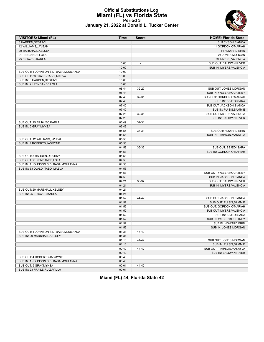### **Official Substitutions Log Miami (FL) vs Florida State Period 3 January 21, 2022 at Donald L. Tucker Center**

| <b>VISITORS: Miami (FL)</b>            | Time  | <b>Score</b>             | <b>HOME: Florida State</b> |
|----------------------------------------|-------|--------------------------|----------------------------|
| 3 HARDEN, DESTINY                      |       |                          | 0 JACKSON, BIANCA          |
| 12 WILLIAMS, JA'LEAH                   |       |                          | 11 GORDON, O'MARIAH        |
| 20 MARSHALL, KELSEY                    |       |                          | 14 HOWARD, ERIN            |
| 21 PENDANDE, LOLA                      |       |                          | 24 JONES, MORGAN           |
| 25 ERJAVEC, KARLA                      |       |                          | 32 MYERS, VALENCIA         |
|                                        | 10:00 | $\overline{\phantom{a}}$ | SUB OUT: BALDWIN, RIVER    |
|                                        | 10:00 |                          | SUB IN: MYERS, VALENCIA    |
| SUB OUT: 1 JOHNSON SIDI BABA, MOULAYNA | 10:00 |                          |                            |
| SUB OUT: 33 DJALDI-TABDI, MAEVA        | 10:00 |                          |                            |
| SUB IN: 3 HARDEN, DESTINY              | 10:00 |                          |                            |
| SUB IN: 21 PENDANDE.LOLA               | 10:00 |                          |                            |
|                                        | 08:44 | 32-29                    | SUB OUT: JONES, MORGAN     |
|                                        | 08:44 |                          | SUB IN: WEBER, KOURTNEY    |
|                                        | 07:40 | 32-31                    | SUB OUT: GORDON, O'MARIAH  |
|                                        | 07:40 |                          | SUB IN: BEJEDI, SARA       |
|                                        | 07:40 |                          | SUB OUT: JACKSON, BIANCA   |
|                                        | 07:40 |                          | SUB IN: PUISIS, SAMMIE     |
|                                        | 07:28 | 32-31                    | SUB OUT: MYERS, VALENCIA   |
|                                        | 07:28 |                          | SUB IN: BALDWIN, RIVER     |
| SUB OUT: 25 ERJAVEC, KARLA             | 06:49 | 32-31                    |                            |
| SUB IN: 5 GRAY, MYKEA                  | 06:49 |                          |                            |
|                                        | 05:56 | 34-31                    | SUB OUT: HOWARD, ERIN      |
|                                        | 05:56 |                          | SUB IN: TIMPSON, MAKAYLA   |
| SUB OUT: 12 WILLIAMS, JA'LEAH          | 05:56 |                          |                            |
| SUB IN: 4 ROBERTS, JASMYNE             | 05:56 |                          |                            |
|                                        | 04:53 | 36-36                    | SUB OUT: BEJEDI, SARA      |
|                                        | 04:53 |                          | SUB IN: GORDON, O'MARIAH   |
| SUB OUT: 3 HARDEN, DESTINY             | 04:53 |                          |                            |
| SUB OUT: 21 PENDANDE, LOLA             | 04:53 |                          |                            |
| SUB IN: 1 JOHNSON SIDI BABA, MOULAYNA  | 04:53 |                          |                            |
| SUB IN: 33 DJALDI-TABDI, MAEVA         | 04:53 |                          |                            |
|                                        | 04:53 |                          | SUB OUT: WEBER, KOURTNEY   |
|                                        | 04:53 |                          | SUB IN: JACKSON, BIANCA    |
|                                        | 04:21 | 38-37                    | SUB OUT: BALDWIN, RIVER    |
|                                        | 04:21 |                          | SUB IN: MYERS, VALENCIA    |
| SUB OUT: 20 MARSHALL, KELSEY           | 04:21 |                          |                            |
| SUB IN: 25 ERJAVEC, KARLA              | 04:21 |                          |                            |
|                                        | 01:52 | 44-42                    | SUB OUT: JACKSON, BIANCA   |
|                                        | 01:52 |                          | SUB OUT: PUISIS, SAMMIE    |
|                                        | 01:52 |                          | SUB OUT: GORDON, O'MARIAH  |
|                                        | 01:52 |                          | SUB OUT: MYERS, VALENCIA   |
|                                        | 01:52 |                          | SUB IN: BEJEDI, SARA       |
|                                        | 01:52 |                          | SUB IN: WEBER, KOURTNEY    |
|                                        | 01:52 |                          | SUB IN: HOWARD, ERIN       |
|                                        | 01:52 |                          | SUB IN: JONES, MORGAN      |
| SUB OUT: 1 JOHNSON SIDI BABA, MOULAYNA | 01:31 | 44-42                    |                            |
| SUB IN: 20 MARSHALL, KELSEY            | 01:31 |                          |                            |
|                                        | 01:16 | 44-42                    | SUB OUT: JONES, MORGAN     |
|                                        | 01:16 |                          | SUB IN: PUISIS, SAMMIE     |
|                                        | 00:40 | 44-42                    | SUB OUT: TIMPSON, MAKAYLA  |
|                                        | 00:40 |                          | SUB IN: BALDWIN, RIVER     |
| SUB OUT: 4 ROBERTS, JASMYNE            | 00:40 |                          |                            |
| SUB IN: 1 JOHNSON SIDI BABA, MOULAYNA  | 00:40 |                          |                            |
| SUB OUT: 5 GRAY, MYKEA                 | 00:01 | 44-42                    |                            |
| SUB IN: 23 FRAILE RUIZ, PAULA          | 00:01 |                          |                            |

## **Miami (FL) 44, Florida State 42**